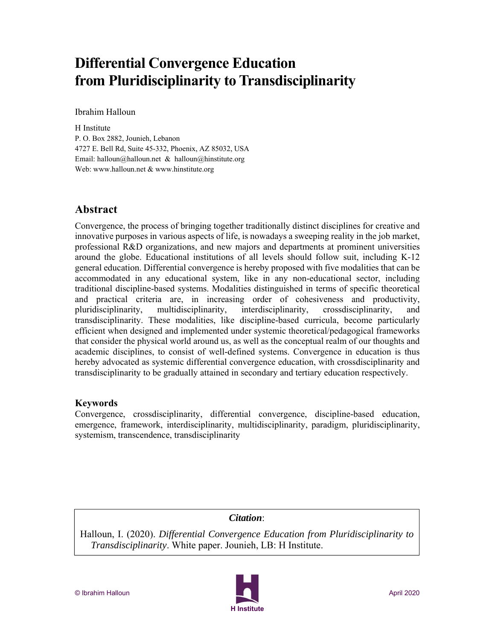# **Differential Convergence Education from Pluridisciplinarity to Transdisciplinarity**

Ibrahim Halloun

H Institute P. O. Box 2882, Jounieh, Lebanon 4727 E. Bell Rd, Suite 45-332, Phoenix, AZ 85032, USA Email: halloun@halloun.net & halloun@hinstitute.org Web: www.halloun.net & www.hinstitute.org

## **Abstract**

Convergence, the process of bringing together traditionally distinct disciplines for creative and innovative purposes in various aspects of life, is nowadays a sweeping reality in the job market, professional R&D organizations, and new majors and departments at prominent universities around the globe. Educational institutions of all levels should follow suit, including K-12 general education. Differential convergence is hereby proposed with five modalities that can be accommodated in any educational system, like in any non-educational sector, including traditional discipline-based systems. Modalities distinguished in terms of specific theoretical and practical criteria are, in increasing order of cohesiveness and productivity, pluridisciplinarity, multidisciplinarity, interdisciplinarity, crossdisciplinarity, and transdisciplinarity. These modalities, like discipline-based curricula, become particularly efficient when designed and implemented under systemic theoretical/pedagogical frameworks that consider the physical world around us, as well as the conceptual realm of our thoughts and academic disciplines, to consist of well-defined systems. Convergence in education is thus hereby advocated as systemic differential convergence education, with crossdisciplinarity and transdisciplinarity to be gradually attained in secondary and tertiary education respectively.

### **Keywords**

Convergence, crossdisciplinarity, differential convergence, discipline-based education, emergence, framework, interdisciplinarity, multidisciplinarity, paradigm, pluridisciplinarity, systemism, transcendence, transdisciplinarity

*Citation*:

Halloun, I. (2020). *Differential Convergence Education from Pluridisciplinarity to Transdisciplinarity*. White paper. Jounieh, LB: H Institute.

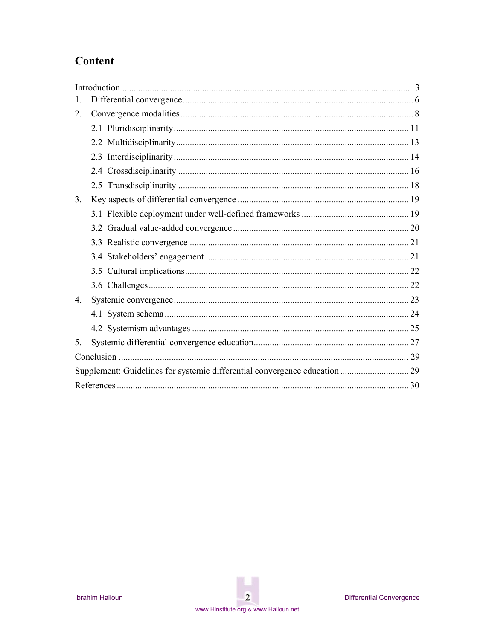## Content

| 1. |                                                                            |  |  |  |  |  |  |
|----|----------------------------------------------------------------------------|--|--|--|--|--|--|
| 2. |                                                                            |  |  |  |  |  |  |
|    |                                                                            |  |  |  |  |  |  |
|    |                                                                            |  |  |  |  |  |  |
|    |                                                                            |  |  |  |  |  |  |
|    |                                                                            |  |  |  |  |  |  |
|    |                                                                            |  |  |  |  |  |  |
| 3. |                                                                            |  |  |  |  |  |  |
|    |                                                                            |  |  |  |  |  |  |
|    |                                                                            |  |  |  |  |  |  |
|    |                                                                            |  |  |  |  |  |  |
|    |                                                                            |  |  |  |  |  |  |
|    |                                                                            |  |  |  |  |  |  |
|    |                                                                            |  |  |  |  |  |  |
| 4. |                                                                            |  |  |  |  |  |  |
|    |                                                                            |  |  |  |  |  |  |
|    |                                                                            |  |  |  |  |  |  |
| 5. |                                                                            |  |  |  |  |  |  |
|    |                                                                            |  |  |  |  |  |  |
|    | Supplement: Guidelines for systemic differential convergence education  29 |  |  |  |  |  |  |
|    |                                                                            |  |  |  |  |  |  |

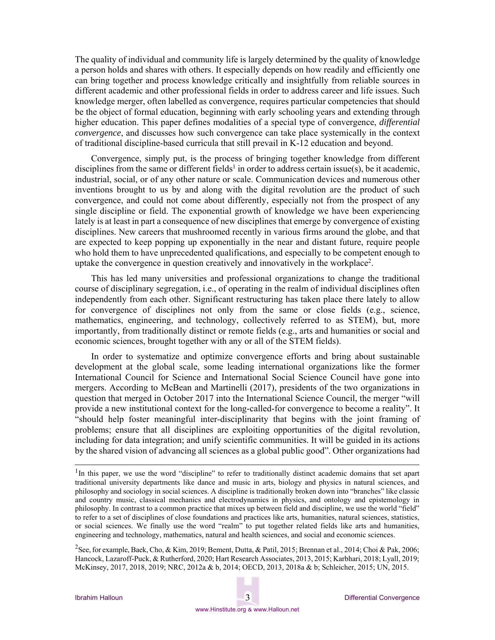The quality of individual and community life is largely determined by the quality of knowledge a person holds and shares with others. It especially depends on how readily and efficiently one can bring together and process knowledge critically and insightfully from reliable sources in different academic and other professional fields in order to address career and life issues. Such knowledge merger, often labelled as convergence, requires particular competencies that should be the object of formal education, beginning with early schooling years and extending through higher education. This paper defines modalities of a special type of convergence, *differential convergence*, and discusses how such convergence can take place systemically in the context of traditional discipline-based curricula that still prevail in K-12 education and beyond.

Convergence, simply put, is the process of bringing together knowledge from different disciplines from the same or different fields<sup>1</sup> in order to address certain issue(s), be it academic, industrial, social, or of any other nature or scale. Communication devices and numerous other inventions brought to us by and along with the digital revolution are the product of such convergence, and could not come about differently, especially not from the prospect of any single discipline or field. The exponential growth of knowledge we have been experiencing lately is at least in part a consequence of new disciplines that emerge by convergence of existing disciplines. New careers that mushroomed recently in various firms around the globe, and that are expected to keep popping up exponentially in the near and distant future, require people who hold them to have unprecedented qualifications, and especially to be competent enough to uptake the convergence in question creatively and innovatively in the workplace<sup>2</sup>.

This has led many universities and professional organizations to change the traditional course of disciplinary segregation, i.e., of operating in the realm of individual disciplines often independently from each other. Significant restructuring has taken place there lately to allow for convergence of disciplines not only from the same or close fields (e.g., science, mathematics, engineering, and technology, collectively referred to as STEM), but, more importantly, from traditionally distinct or remote fields (e.g., arts and humanities or social and economic sciences, brought together with any or all of the STEM fields).

In order to systematize and optimize convergence efforts and bring about sustainable development at the global scale, some leading international organizations like the former International Council for Science and International Social Science Council have gone into mergers. According to McBean and Martinelli (2017), presidents of the two organizations in question that merged in October 2017 into the International Science Council, the merger "will provide a new institutional context for the long-called-for convergence to become a reality". It "should help foster meaningful inter-disciplinarity that begins with the joint framing of problems; ensure that all disciplines are exploiting opportunities of the digital revolution, including for data integration; and unify scientific communities. It will be guided in its actions by the shared vision of advancing all sciences as a global public good". Other organizations had

<sup>&</sup>lt;sup>1</sup>In this paper, we use the word "discipline" to refer to traditionally distinct academic domains that set apart traditional university departments like dance and music in arts, biology and physics in natural sciences, and philosophy and sociology in social sciences. A discipline is traditionally broken down into "branches" like classic and country music, classical mechanics and electrodynamics in physics, and ontology and epistemology in philosophy. In contrast to a common practice that mixes up between field and discipline, we use the world "field" to refer to a set of disciplines of close foundations and practices like arts, humanities, natural sciences, statistics, or social sciences. We finally use the word "realm" to put together related fields like arts and humanities, engineering and technology, mathematics, natural and health sciences, and social and economic sciences.

<sup>&</sup>lt;sup>2</sup>See, for example, Baek, Cho, & Kim, 2019; Bement, Dutta, & Patil, 2015; Brennan et al., 2014; Choi & Pak, 2006; Hancock, Lazaroff-Puck, & Rutherford, 2020; Hart Research Associates, 2013, 2015; Karbhari, 2018; Lyall, 2019; McKinsey, 2017, 2018, 2019; NRC, 2012a & b, 2014; OECD, 2013, 2018a & b; Schleicher, 2015; UN, 2015.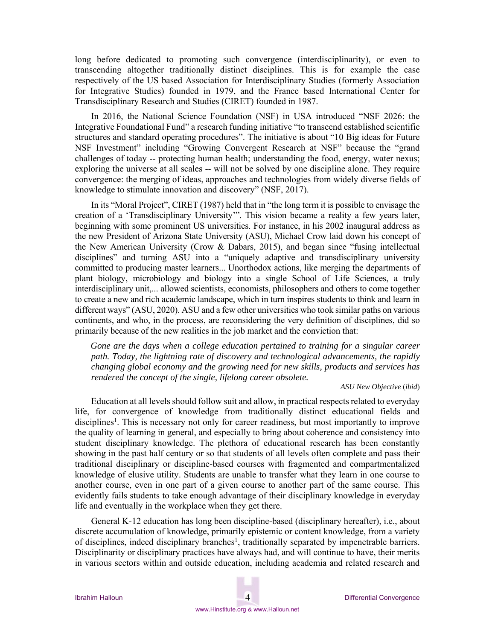long before dedicated to promoting such convergence (interdisciplinarity), or even to transcending altogether traditionally distinct disciplines. This is for example the case respectively of the US based Association for Interdisciplinary Studies (formerly Association for Integrative Studies) founded in 1979, and the France based International Center for Transdisciplinary Research and Studies (CIRET) founded in 1987.

In 2016, the National Science Foundation (NSF) in USA introduced "NSF 2026: the Integrative Foundational Fund" a research funding initiative "to transcend established scientific structures and standard operating procedures". The initiative is about "10 Big ideas for Future NSF Investment" including "Growing Convergent Research at NSF" because the "grand challenges of today -- protecting human health; understanding the food, energy, water nexus; exploring the universe at all scales -- will not be solved by one discipline alone. They require convergence: the merging of ideas, approaches and technologies from widely diverse fields of knowledge to stimulate innovation and discovery" (NSF, 2017).

In its "Moral Project", CIRET (1987) held that in "the long term it is possible to envisage the creation of a 'Transdisciplinary University'". This vision became a reality a few years later, beginning with some prominent US universities. For instance, in his 2002 inaugural address as the new President of Arizona State University (ASU), Michael Crow laid down his concept of the New American University (Crow & Dabars, 2015), and began since "fusing intellectual disciplines" and turning ASU into a "uniquely adaptive and transdisciplinary university committed to producing master learners... Unorthodox actions, like merging the departments of plant biology, microbiology and biology into a single School of Life Sciences, a truly interdisciplinary unit,... allowed scientists, economists, philosophers and others to come together to create a new and rich academic landscape, which in turn inspires students to think and learn in different ways" (ASU, 2020). ASU and a few other universities who took similar paths on various continents, and who, in the process, are reconsidering the very definition of disciplines, did so primarily because of the new realities in the job market and the conviction that:

*Gone are the days when a college education pertained to training for a singular career path. Today, the lightning rate of discovery and technological advancements, the rapidly changing global economy and the growing need for new skills, products and services has rendered the concept of the single, lifelong career obsolete.* 

*ASU New Objective* (*ibid*)

Education at all levels should follow suit and allow, in practical respects related to everyday life, for convergence of knowledge from traditionally distinct educational fields and disciplines<sup>1</sup>. This is necessary not only for career readiness, but most importantly to improve the quality of learning in general, and especially to bring about coherence and consistency into student disciplinary knowledge. The plethora of educational research has been constantly showing in the past half century or so that students of all levels often complete and pass their traditional disciplinary or discipline-based courses with fragmented and compartmentalized knowledge of elusive utility. Students are unable to transfer what they learn in one course to another course, even in one part of a given course to another part of the same course. This evidently fails students to take enough advantage of their disciplinary knowledge in everyday life and eventually in the workplace when they get there.

General K-12 education has long been discipline-based (disciplinary hereafter), i.e., about discrete accumulation of knowledge, primarily epistemic or content knowledge, from a variety of disciplines, indeed disciplinary branches<sup>1</sup>, traditionally separated by impenetrable barriers. Disciplinarity or disciplinary practices have always had, and will continue to have, their merits in various sectors within and outside education, including academia and related research and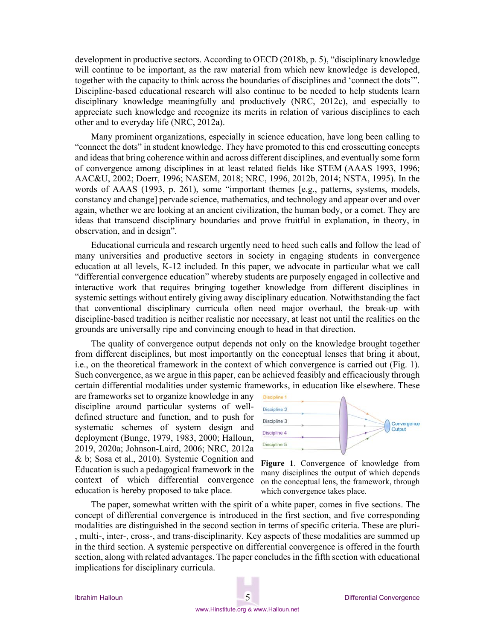development in productive sectors. According to OECD (2018b, p. 5), "disciplinary knowledge will continue to be important, as the raw material from which new knowledge is developed, together with the capacity to think across the boundaries of disciplines and 'connect the dots'". Discipline-based educational research will also continue to be needed to help students learn disciplinary knowledge meaningfully and productively (NRC, 2012c), and especially to appreciate such knowledge and recognize its merits in relation of various disciplines to each other and to everyday life (NRC, 2012a).

Many prominent organizations, especially in science education, have long been calling to "connect the dots" in student knowledge. They have promoted to this end crosscutting concepts and ideas that bring coherence within and across different disciplines, and eventually some form of convergence among disciplines in at least related fields like STEM (AAAS 1993, 1996; AAC&U, 2002; Doerr, 1996; NASEM, 2018; NRC, 1996, 2012b, 2014; NSTA, 1995). In the words of AAAS (1993, p. 261), some "important themes [e.g., patterns, systems, models, constancy and change] pervade science, mathematics, and technology and appear over and over again, whether we are looking at an ancient civilization, the human body, or a comet. They are ideas that transcend disciplinary boundaries and prove fruitful in explanation, in theory, in observation, and in design".

Educational curricula and research urgently need to heed such calls and follow the lead of many universities and productive sectors in society in engaging students in convergence education at all levels, K-12 included. In this paper, we advocate in particular what we call "differential convergence education" whereby students are purposely engaged in collective and interactive work that requires bringing together knowledge from different disciplines in systemic settings without entirely giving away disciplinary education. Notwithstanding the fact that conventional disciplinary curricula often need major overhaul, the break-up with discipline-based tradition is neither realistic nor necessary, at least not until the realities on the grounds are universally ripe and convincing enough to head in that direction.

The quality of convergence output depends not only on the knowledge brought together from different disciplines, but most importantly on the conceptual lenses that bring it about, i.e., on the theoretical framework in the context of which convergence is carried out (Fig. 1). Such convergence, as we argue in this paper, can be achieved feasibly and efficaciously through certain differential modalities under systemic frameworks, in education like elsewhere. These

are frameworks set to organize knowledge in any discipline around particular systems of welldefined structure and function, and to push for systematic schemes of system design and deployment (Bunge, 1979, 1983, 2000; Halloun, 2019, 2020a; Johnson-Laird, 2006; NRC, 2012a & b; Sosa et al., 2010). Systemic Cognition and Education is such a pedagogical framework in the context of which differential convergence education is hereby proposed to take place.



**Figure 1**. Convergence of knowledge from many disciplines the output of which depends on the conceptual lens, the framework, through which convergence takes place.

The paper, somewhat written with the spirit of a white paper, comes in five sections. The concept of differential convergence is introduced in the first section, and five corresponding modalities are distinguished in the second section in terms of specific criteria. These are pluri- , multi-, inter-, cross-, and trans-disciplinarity. Key aspects of these modalities are summed up in the third section. A systemic perspective on differential convergence is offered in the fourth section, along with related advantages. The paper concludes in the fifth section with educational implications for disciplinary curricula.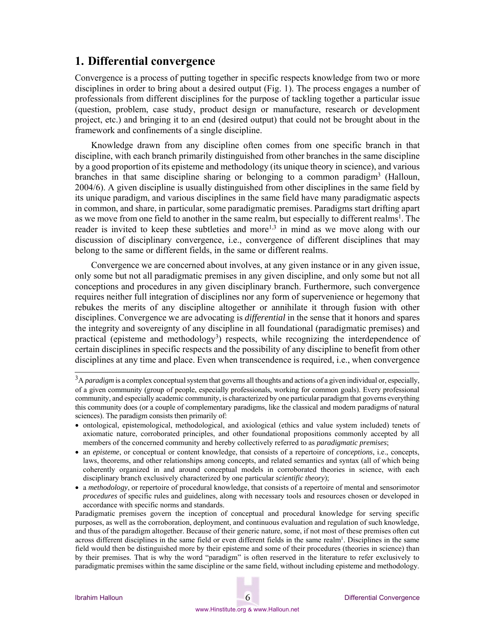## **1. Differential convergence**

Convergence is a process of putting together in specific respects knowledge from two or more disciplines in order to bring about a desired output (Fig. 1). The process engages a number of professionals from different disciplines for the purpose of tackling together a particular issue (question, problem, case study, product design or manufacture, research or development project, etc.) and bringing it to an end (desired output) that could not be brought about in the framework and confinements of a single discipline.

Knowledge drawn from any discipline often comes from one specific branch in that discipline, with each branch primarily distinguished from other branches in the same discipline by a good proportion of its episteme and methodology (its unique theory in science), and various branches in that same discipline sharing or belonging to a common paradigm3 (Halloun, 2004/6). A given discipline is usually distinguished from other disciplines in the same field by its unique paradigm, and various disciplines in the same field have many paradigmatic aspects in common, and share, in particular, some paradigmatic premises. Paradigms start drifting apart as we move from one field to another in the same realm, but especially to different realms<sup>1</sup>. The reader is invited to keep these subtleties and more<sup>1,3</sup> in mind as we move along with our discussion of disciplinary convergence, i.e., convergence of different disciplines that may belong to the same or different fields, in the same or different realms.

Convergence we are concerned about involves, at any given instance or in any given issue, only some but not all paradigmatic premises in any given discipline, and only some but not all conceptions and procedures in any given disciplinary branch. Furthermore, such convergence requires neither full integration of disciplines nor any form of supervenience or hegemony that rebukes the merits of any discipline altogether or annihilate it through fusion with other disciplines. Convergence we are advocating is *differential* in the sense that it honors and spares the integrity and sovereignty of any discipline in all foundational (paradigmatic premises) and practical (episteme and methodology<sup>3</sup>) respects, while recognizing the interdependence of certain disciplines in specific respects and the possibility of any discipline to benefit from other disciplines at any time and place. Even when transcendence is required, i.e., when convergence

<sup>3</sup>A *paradigm* is a complex conceptual system that governs all thoughts and actions of a given individual or, especially, of a given community (group of people, especially professionals, working for common goals). Every professional community, and especially academic community, is characterized by one particular paradigm that governs everything this community does (or a couple of complementary paradigms, like the classical and modern paradigms of natural sciences). The paradigm consists then primarily of:

ontological, epistemological, methodological, and axiological (ethics and value system included) tenets of axiomatic nature, corroborated principles, and other foundational propositions commonly accepted by all members of the concerned community and hereby collectively referred to as *paradigmatic premises*;

an *episteme*, or conceptual or content knowledge, that consists of a repertoire of *conceptions*, i.e., concepts, laws, theorems, and other relationships among concepts, and related semantics and syntax (all of which being coherently organized in and around conceptual models in corroborated theories in science, with each disciplinary branch exclusively characterized by one particular *scientific theory*);

a *methodology*, or repertoire of procedural knowledge, that consists of a repertoire of mental and sensorimotor *procedures* of specific rules and guidelines, along with necessary tools and resources chosen or developed in accordance with specific norms and standards.

Paradigmatic premises govern the inception of conceptual and procedural knowledge for serving specific purposes, as well as the corroboration, deployment, and continuous evaluation and regulation of such knowledge, and thus of the paradigm altogether. Because of their generic nature, some, if not most of these premises often cut across different disciplines in the same field or even different fields in the same realm<sup>1</sup>. Disciplines in the same field would then be distinguished more by their episteme and some of their procedures (theories in science) than by their premises. That is why the word "paradigm" is often reserved in the literature to refer exclusively to paradigmatic premises within the same discipline or the same field, without including episteme and methodology.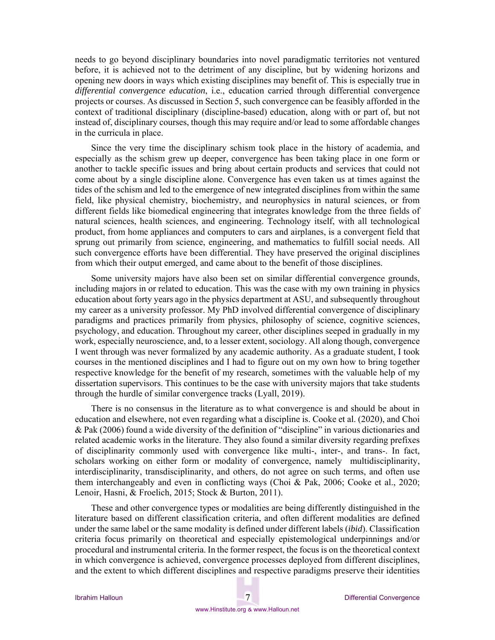needs to go beyond disciplinary boundaries into novel paradigmatic territories not ventured before, it is achieved not to the detriment of any discipline, but by widening horizons and opening new doors in ways which existing disciplines may benefit of. This is especially true in *differential convergence education*, i.e., education carried through differential convergence projects or courses. As discussed in Section 5, such convergence can be feasibly afforded in the context of traditional disciplinary (discipline-based) education, along with or part of, but not instead of, disciplinary courses, though this may require and/or lead to some affordable changes in the curricula in place.

Since the very time the disciplinary schism took place in the history of academia, and especially as the schism grew up deeper, convergence has been taking place in one form or another to tackle specific issues and bring about certain products and services that could not come about by a single discipline alone. Convergence has even taken us at times against the tides of the schism and led to the emergence of new integrated disciplines from within the same field, like physical chemistry, biochemistry, and neurophysics in natural sciences, or from different fields like biomedical engineering that integrates knowledge from the three fields of natural sciences, health sciences, and engineering. Technology itself, with all technological product, from home appliances and computers to cars and airplanes, is a convergent field that sprung out primarily from science, engineering, and mathematics to fulfill social needs. All such convergence efforts have been differential. They have preserved the original disciplines from which their output emerged, and came about to the benefit of those disciplines.

Some university majors have also been set on similar differential convergence grounds, including majors in or related to education. This was the case with my own training in physics education about forty years ago in the physics department at ASU, and subsequently throughout my career as a university professor. My PhD involved differential convergence of disciplinary paradigms and practices primarily from physics, philosophy of science, cognitive sciences, psychology, and education. Throughout my career, other disciplines seeped in gradually in my work, especially neuroscience, and, to a lesser extent, sociology. All along though, convergence I went through was never formalized by any academic authority. As a graduate student, I took courses in the mentioned disciplines and I had to figure out on my own how to bring together respective knowledge for the benefit of my research, sometimes with the valuable help of my dissertation supervisors. This continues to be the case with university majors that take students through the hurdle of similar convergence tracks (Lyall, 2019).

There is no consensus in the literature as to what convergence is and should be about in education and elsewhere, not even regarding what a discipline is. Cooke et al. (2020), and Choi & Pak (2006) found a wide diversity of the definition of "discipline" in various dictionaries and related academic works in the literature. They also found a similar diversity regarding prefixes of disciplinarity commonly used with convergence like multi-, inter-, and trans-. In fact, scholars working on either form or modality of convergence, namely multidisciplinarity, interdisciplinarity, transdisciplinarity, and others, do not agree on such terms, and often use them interchangeably and even in conflicting ways (Choi & Pak, 2006; Cooke et al., 2020; Lenoir, Hasni, & Froelich, 2015; Stock & Burton, 2011).

These and other convergence types or modalities are being differently distinguished in the literature based on different classification criteria, and often different modalities are defined under the same label or the same modality is defined under different labels (*ibid*). Classification criteria focus primarily on theoretical and especially epistemological underpinnings and/or procedural and instrumental criteria. In the former respect, the focus is on the theoretical context in which convergence is achieved, convergence processes deployed from different disciplines, and the extent to which different disciplines and respective paradigms preserve their identities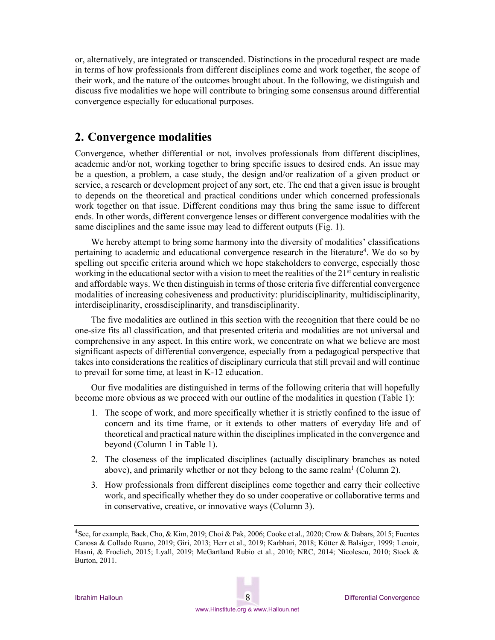or, alternatively, are integrated or transcended. Distinctions in the procedural respect are made in terms of how professionals from different disciplines come and work together, the scope of their work, and the nature of the outcomes brought about. In the following, we distinguish and discuss five modalities we hope will contribute to bringing some consensus around differential convergence especially for educational purposes.

## **2. Convergence modalities**

Convergence, whether differential or not, involves professionals from different disciplines, academic and/or not, working together to bring specific issues to desired ends. An issue may be a question, a problem, a case study, the design and/or realization of a given product or service, a research or development project of any sort, etc. The end that a given issue is brought to depends on the theoretical and practical conditions under which concerned professionals work together on that issue. Different conditions may thus bring the same issue to different ends. In other words, different convergence lenses or different convergence modalities with the same disciplines and the same issue may lead to different outputs (Fig. 1).

We hereby attempt to bring some harmony into the diversity of modalities' classifications pertaining to academic and educational convergence research in the literature<sup>4</sup>. We do so by spelling out specific criteria around which we hope stakeholders to converge, especially those working in the educational sector with a vision to meet the realities of the  $21<sup>st</sup>$  century in realistic and affordable ways. We then distinguish in terms of those criteria five differential convergence modalities of increasing cohesiveness and productivity: pluridisciplinarity, multidisciplinarity, interdisciplinarity, crossdisciplinarity, and transdisciplinarity.

The five modalities are outlined in this section with the recognition that there could be no one-size fits all classification, and that presented criteria and modalities are not universal and comprehensive in any aspect. In this entire work, we concentrate on what we believe are most significant aspects of differential convergence, especially from a pedagogical perspective that takes into considerations the realities of disciplinary curricula that still prevail and will continue to prevail for some time, at least in K-12 education.

Our five modalities are distinguished in terms of the following criteria that will hopefully become more obvious as we proceed with our outline of the modalities in question (Table 1):

- 1. The scope of work, and more specifically whether it is strictly confined to the issue of concern and its time frame, or it extends to other matters of everyday life and of theoretical and practical nature within the disciplines implicated in the convergence and beyond (Column 1 in Table 1).
- 2. The closeness of the implicated disciplines (actually disciplinary branches as noted above), and primarily whether or not they belong to the same realm<sup>1</sup> (Column 2).
- 3. How professionals from different disciplines come together and carry their collective work, and specifically whether they do so under cooperative or collaborative terms and in conservative, creative, or innovative ways (Column 3).

<sup>4</sup>See, for example, Baek, Cho, & Kim, 2019; Choi & Pak, 2006; Cooke et al., 2020; Crow & Dabars, 2015; Fuentes Canosa & Collado Ruano, 2019; Giri, 2013; Herr et al., 2019; Karbhari, 2018; Kötter & Balsiger, 1999; Lenoir, Hasni, & Froelich, 2015; Lyall, 2019; McGartland Rubio et al., 2010; NRC, 2014; Nicolescu, 2010; Stock & Burton, 2011.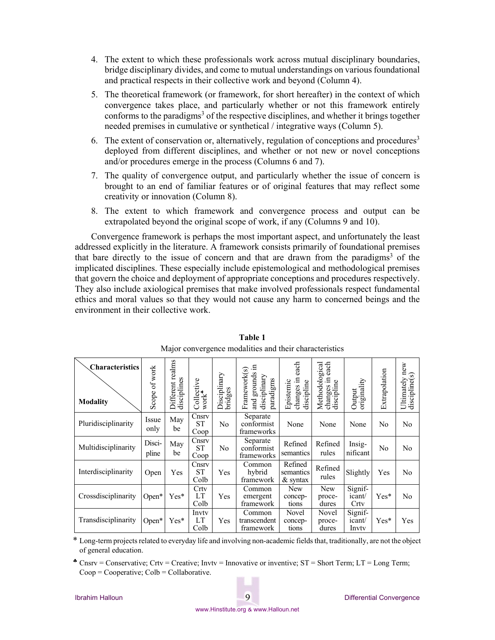- 4. The extent to which these professionals work across mutual disciplinary boundaries, bridge disciplinary divides, and come to mutual understandings on various foundational and practical respects in their collective work and beyond (Column 4).
- 5. The theoretical framework (or framework, for short hereafter) in the context of which convergence takes place, and particularly whether or not this framework entirely conforms to the paradigms<sup>3</sup> of the respective disciplines, and whether it brings together needed premises in cumulative or synthetical / integrative ways (Column 5).
- 6. The extent of conservation or, alternatively, regulation of conceptions and procedures<sup>3</sup> deployed from different disciplines, and whether or not new or novel conceptions and/or procedures emerge in the process (Columns 6 and 7).
- 7. The quality of convergence output, and particularly whether the issue of concern is brought to an end of familiar features or of original features that may reflect some creativity or innovation (Column 8).
- 8. The extent to which framework and convergence process and output can be extrapolated beyond the original scope of work, if any (Columns 9 and 10).

Convergence framework is perhaps the most important aspect, and unfortunately the least addressed explicitly in the literature. A framework consists primarily of foundational premises that bare directly to the issue of concern and that are drawn from the paradigms<sup>3</sup> of the implicated disciplines. These especially include epistemological and methodological premises that govern the choice and deployment of appropriate conceptions and procedures respectively. They also include axiological premises that make involved professionals respect fundamental ethics and moral values so that they would not cause any harm to concerned beings and the environment in their collective work.

| <b>Characteristics</b><br><b>Modality</b> | of work<br>Scope | Different realms<br>disciplines | Collective<br>$\text{work}^{\clubsuit}$ | Disciplinary<br>bridges | Ξ<br>Framework(s)<br>grounds<br>disciplinary<br>paradigms<br>and | each<br>changes in<br>Epistemic<br>discipline | Methodological<br>each<br>E<br>changes in<br>discipline | originality<br>Output      | Extrapolation | 6W<br>Ħ<br>$\Omega$<br>Ultimately<br>discipline |
|-------------------------------------------|------------------|---------------------------------|-----------------------------------------|-------------------------|------------------------------------------------------------------|-----------------------------------------------|---------------------------------------------------------|----------------------------|---------------|-------------------------------------------------|
| Pluridisciplinarity                       | Issue<br>only    | May<br>be                       | Cnsrv<br><b>ST</b><br>Coop              | N <sub>0</sub>          | Separate<br>conformist<br>frameworks                             | None                                          | None                                                    | None                       | No            | No                                              |
| Multidisciplinarity                       | Disci-<br>pline  | May<br>be                       | Cnsrv<br><b>ST</b><br>Coop              | No                      | Separate<br>conformist<br>frameworks                             | Refined<br>semantics                          | Refined<br>rules                                        | Insig-<br>nificant         | No            | No                                              |
| Interdisciplinarity                       | Open             | Yes                             | Cnsrv<br>ST<br>Colb                     | Yes                     | Common<br>hybrid<br>framework                                    | Refined<br>semantics<br>$&$ syntax            | Refined<br>rules                                        | Slightly                   | Yes           | No                                              |
| Crossdisciplinarity                       | $Open*$          | $Yes*$                          | Crty<br>LT<br>Colb                      | Yes                     | Common<br>emergent<br>framework                                  | New<br>concep-<br>tions                       | New<br>proce-<br>dures                                  | Signif-<br>icant/<br>Crty  | $Yes*$        | No                                              |
| Transdisciplinarity                       | $Open*$          | $Yes*$                          | Invty<br>LT<br>Colb                     | Yes                     | Common<br>transcendent<br>framework                              | Novel<br>concep-<br>tions                     | Novel<br>proce-<br>dures                                | Signif-<br>icant/<br>Invty | $Yes*$        | Yes                                             |

**Table 1**  Major convergence modalities and their characteristics

\* Long-term projects related to everyday life and involving non-academic fields that, traditionally, are not the object of general education.

Cnsrv = Conservative; Crtv = Creative; Invtv = Innovative or inventive;  $ST = Short Term$ ; LT = Long Term;  $Coop = Cooperative$ ;  $Colb = Collaborative$ .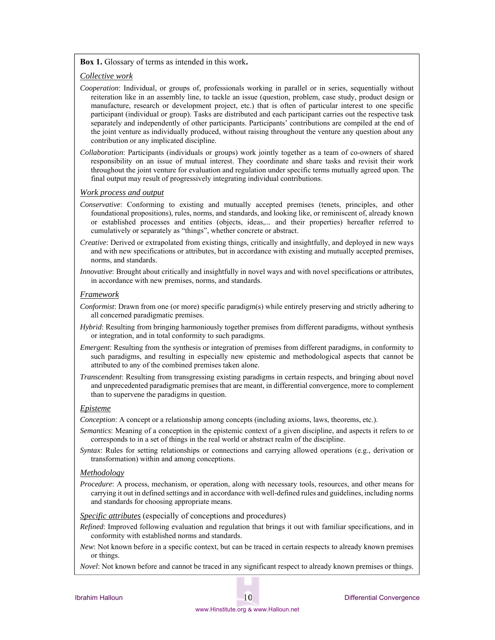#### **Box 1.** Glossary of terms as intended in this work**.**

#### *Collective work*

- *Cooperation*: Individual, or groups of, professionals working in parallel or in series, sequentially without reiteration like in an assembly line, to tackle an issue (question, problem, case study, product design or manufacture, research or development project, etc.) that is often of particular interest to one specific participant (individual or group). Tasks are distributed and each participant carries out the respective task separately and independently of other participants. Participants' contributions are compiled at the end of the joint venture as individually produced, without raising throughout the venture any question about any contribution or any implicated discipline.
- *Collaboration*: Participants (individuals or groups) work jointly together as a team of co-owners of shared responsibility on an issue of mutual interest. They coordinate and share tasks and revisit their work throughout the joint venture for evaluation and regulation under specific terms mutually agreed upon. The final output may result of progressively integrating individual contributions.

#### *Work process and output*

- *Conservative*: Conforming to existing and mutually accepted premises (tenets, principles, and other foundational propositions), rules, norms, and standards, and looking like, or reminiscent of, already known or established processes and entities (objects, ideas,... and their properties) hereafter referred to cumulatively or separately as "things", whether concrete or abstract.
- *Creative*: Derived or extrapolated from existing things, critically and insightfully, and deployed in new ways and with new specifications or attributes, but in accordance with existing and mutually accepted premises, norms, and standards.
- *Innovative*: Brought about critically and insightfully in novel ways and with novel specifications or attributes, in accordance with new premises, norms, and standards.

#### *Framework*

- *Conformist*: Drawn from one (or more) specific paradigm(s) while entirely preserving and strictly adhering to all concerned paradigmatic premises.
- *Hybrid*: Resulting from bringing harmoniously together premises from different paradigms, without synthesis or integration, and in total conformity to such paradigms.
- *Emergent*: Resulting from the synthesis or integration of premises from different paradigms, in conformity to such paradigms, and resulting in especially new epistemic and methodological aspects that cannot be attributed to any of the combined premises taken alone.
- *Transcendent*: Resulting from transgressing existing paradigms in certain respects, and bringing about novel and unprecedented paradigmatic premises that are meant, in differential convergence, more to complement than to supervene the paradigms in question.

#### *Episteme*

*Conception*: A concept or a relationship among concepts (including axioms, laws, theorems, etc.).

- *Semantics*: Meaning of a conception in the epistemic context of a given discipline, and aspects it refers to or corresponds to in a set of things in the real world or abstract realm of the discipline.
- *Syntax*: Rules for setting relationships or connections and carrying allowed operations (e.g., derivation or transformation) within and among conceptions.

#### *Methodology*

*Procedure*: A process, mechanism, or operation, along with necessary tools, resources, and other means for carrying it out in defined settings and in accordance with well-defined rules and guidelines, including norms and standards for choosing appropriate means.

*Specific attributes* (especially of conceptions and procedures)

- *Refined*: Improved following evaluation and regulation that brings it out with familiar specifications, and in conformity with established norms and standards.
- *New*: Not known before in a specific context, but can be traced in certain respects to already known premises or things.
- *Novel*: Not known before and cannot be traced in any significant respect to already known premises or things.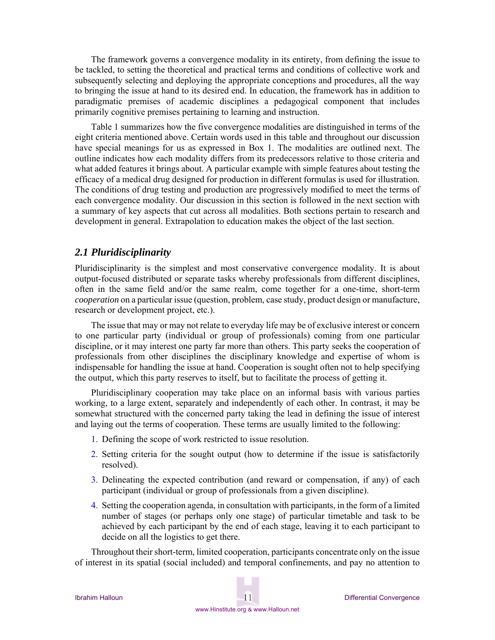The framework governs a convergence modality in its entirety, from defining the issue to be tackled, to setting the theoretical and practical terms and conditions of collective work and subsequently selecting and deploying the appropriate conceptions and procedures, all the way to bringing the issue at hand to its desired end. In education, the framework has in addition to paradigmatic premises of academic disciplines a pedagogical component that includes primarily cognitive premises pertaining to learning and instruction.

Table 1 summarizes how the five convergence modalities are distinguished in terms of the eight criteria mentioned above. Certain words used in this table and throughout our discussion have special meanings for us as expressed in Box 1. The modalities are outlined next. The outline indicates how each modality differs from its predecessors relative to those criteria and what added features it brings about. A particular example with simple features about testing the efficacy of a medical drug designed for production in different formulas is used for illustration. The conditions of drug testing and production are progressively modified to meet the terms of each convergence modality. Our discussion in this section is followed in the next section with a summary of key aspects that cut across all modalities. Both sections pertain to research and development in general. Extrapolation to education makes the object of the last section.

### *2.1 Pluridisciplinarity*

Pluridisciplinarity is the simplest and most conservative convergence modality. It is about output-focused distributed or separate tasks whereby professionals from different disciplines, often in the same field and/or the same realm, come together for a one-time, short-term *cooperation* on a particular issue (question, problem, case study, product design or manufacture, research or development project, etc.).

The issue that may or may not relate to everyday life may be of exclusive interest or concern to one particular party (individual or group of professionals) coming from one particular discipline, or it may interest one party far more than others. This party seeks the cooperation of professionals from other disciplines the disciplinary knowledge and expertise of whom is indispensable for handling the issue at hand. Cooperation is sought often not to help specifying the output, which this party reserves to itself, but to facilitate the process of getting it.

Pluridisciplinary cooperation may take place on an informal basis with various parties working, to a large extent, separately and independently of each other. In contrast, it may be somewhat structured with the concerned party taking the lead in defining the issue of interest and laying out the terms of cooperation. These terms are usually limited to the following:

- 1. Defining the scope of work restricted to issue resolution.
- 2. Setting criteria for the sought output (how to determine if the issue is satisfactorily resolved).
- 3. Delineating the expected contribution (and reward or compensation, if any) of each participant (individual or group of professionals from a given discipline).
- 4. Setting the cooperation agenda, in consultation with participants, in the form of a limited number of stages (or perhaps only one stage) of particular timetable and task to be achieved by each participant by the end of each stage, leaving it to each participant to decide on all the logistics to get there.

Throughout their short-term, limited cooperation, participants concentrate only on the issue of interest in its spatial (social included) and temporal confinements, and pay no attention to

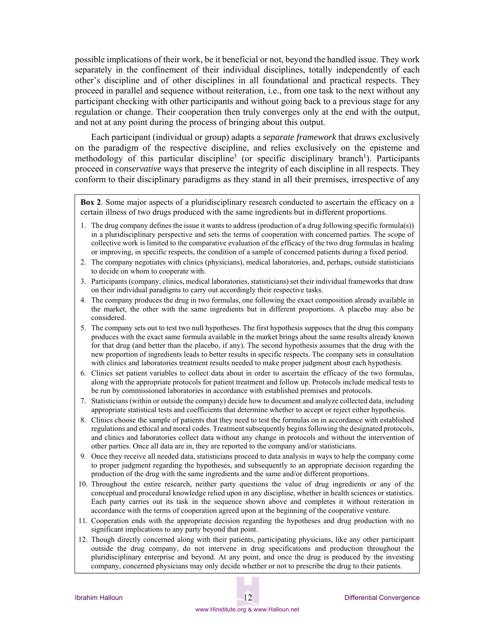possible implications of their work, be it beneficial or not, beyond the handled issue. They work separately in the confinement of their individual disciplines, totally independently of each other's discipline and of other disciplines in all foundational and practical respects. They proceed in parallel and sequence without reiteration, i.e., from one task to the next without any participant checking with other participants and without going back to a previous stage for any regulation or change. Their cooperation then truly converges only at the end with the output, and not at any point during the process of bringing about this output.

Each participant (individual or group) adapts a *separate framework* that draws exclusively on the paradigm of the respective discipline, and relies exclusively on the episteme and methodology of this particular discipline<sup>3</sup> (or specific disciplinary branch<sup>1</sup>). Participants proceed in *conservative* ways that preserve the integrity of each discipline in all respects. They conform to their disciplinary paradigms as they stand in all their premises, irrespective of any

**Box 2**. Some major aspects of a pluridisciplinary research conducted to ascertain the efficacy on a certain illness of two drugs produced with the same ingredients but in different proportions.

- 1. The drug company defines the issue it wants to address (production of a drug following specific formula(s)) in a pluridisciplinary perspective and sets the terms of cooperation with concerned parties. The scope of collective work is limited to the comparative evaluation of the efficacy of the two drug formulas in healing or improving, in specific respects, the condition of a sample of concerned patients during a fixed period.
- 2. The company negotiates with clinics (physicians), medical laboratories, and, perhaps, outside statisticians to decide on whom to cooperate with.
- 3. Participants (company, clinics, medical laboratories, statisticians) set their individual frameworks that draw on their individual paradigms to carry out accordingly their respective tasks.
- 4. The company produces the drug in two formulas, one following the exact composition already available in the market, the other with the same ingredients but in different proportions. A placebo may also be considered.
- 5. The company sets out to test two null hypotheses. The first hypothesis supposes that the drug this company produces with the exact same formula available in the market brings about the same results already known for that drug (and better than the placebo, if any). The second hypothesis assumes that the drug with the new proportion of ingredients leads to better results in specific respects. The company sets in consultation with clinics and laboratories treatment results needed to make proper judgment about each hypothesis.
- 6. Clinics set patient variables to collect data about in order to ascertain the efficacy of the two formulas, along with the appropriate protocols for patient treatment and follow up. Protocols include medical tests to be run by commissioned laboratories in accordance with established premises and protocols.
- 7. Statisticians (within or outside the company) decide how to document and analyze collected data, including appropriate statistical tests and coefficients that determine whether to accept or reject either hypothesis.
- 8. Clinics choose the sample of patients that they need to test the formulas on in accordance with established regulations and ethical and moral codes. Treatment subsequently begins following the designated protocols, and clinics and laboratories collect data without any change in protocols and without the intervention of other parties. Once all data are in, they are reported to the company and/or statisticians.
- 9. Once they receive all needed data, statisticians proceed to data analysis in ways to help the company come to proper judgment regarding the hypotheses, and subsequently to an appropriate decision regarding the production of the drug with the same ingredients and the same and/or different proportions.
- 10. Throughout the entire research, neither party questions the value of drug ingredients or any of the conceptual and procedural knowledge relied upon in any discipline, whether in health sciences or statistics. Each party carries out its task in the sequence shown above and completes it without reiteration in accordance with the terms of cooperation agreed upon at the beginning of the cooperative venture.
- 11. Cooperation ends with the appropriate decision regarding the hypotheses and drug production with no significant implications to any party beyond that point.
- 12. Though directly concerned along with their patients, participating physicians, like any other participant outside the drug company, do not intervene in drug specifications and production throughout the pluridisciplinary enterprise and beyond. At any point, and once the drug is produced by the investing company, concerned physicians may only decide whether or not to prescribe the drug to their patients.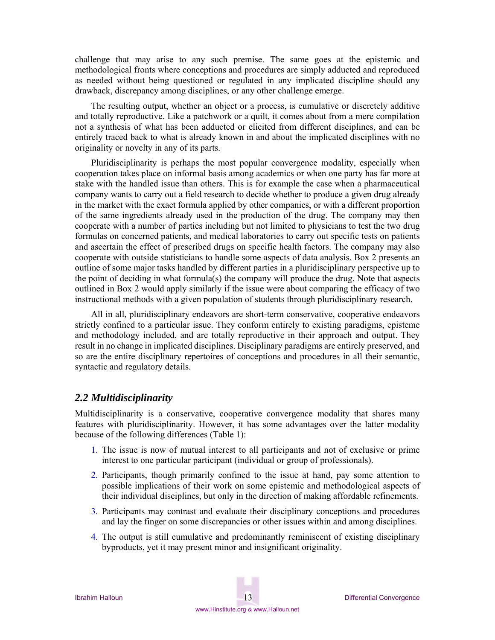challenge that may arise to any such premise. The same goes at the epistemic and methodological fronts where conceptions and procedures are simply adducted and reproduced as needed without being questioned or regulated in any implicated discipline should any drawback, discrepancy among disciplines, or any other challenge emerge.

The resulting output, whether an object or a process, is cumulative or discretely additive and totally reproductive. Like a patchwork or a quilt, it comes about from a mere compilation not a synthesis of what has been adducted or elicited from different disciplines, and can be entirely traced back to what is already known in and about the implicated disciplines with no originality or novelty in any of its parts.

Pluridisciplinarity is perhaps the most popular convergence modality, especially when cooperation takes place on informal basis among academics or when one party has far more at stake with the handled issue than others. This is for example the case when a pharmaceutical company wants to carry out a field research to decide whether to produce a given drug already in the market with the exact formula applied by other companies, or with a different proportion of the same ingredients already used in the production of the drug. The company may then cooperate with a number of parties including but not limited to physicians to test the two drug formulas on concerned patients, and medical laboratories to carry out specific tests on patients and ascertain the effect of prescribed drugs on specific health factors. The company may also cooperate with outside statisticians to handle some aspects of data analysis. Box 2 presents an outline of some major tasks handled by different parties in a pluridisciplinary perspective up to the point of deciding in what formula(s) the company will produce the drug. Note that aspects outlined in Box 2 would apply similarly if the issue were about comparing the efficacy of two instructional methods with a given population of students through pluridisciplinary research.

All in all, pluridisciplinary endeavors are short-term conservative, cooperative endeavors strictly confined to a particular issue. They conform entirely to existing paradigms, episteme and methodology included, and are totally reproductive in their approach and output. They result in no change in implicated disciplines. Disciplinary paradigms are entirely preserved, and so are the entire disciplinary repertoires of conceptions and procedures in all their semantic, syntactic and regulatory details.

#### *2.2 Multidisciplinarity*

Multidisciplinarity is a conservative, cooperative convergence modality that shares many features with pluridisciplinarity. However, it has some advantages over the latter modality because of the following differences (Table 1):

- 1. The issue is now of mutual interest to all participants and not of exclusive or prime interest to one particular participant (individual or group of professionals).
- 2. Participants, though primarily confined to the issue at hand, pay some attention to possible implications of their work on some epistemic and methodological aspects of their individual disciplines, but only in the direction of making affordable refinements.
- 3. Participants may contrast and evaluate their disciplinary conceptions and procedures and lay the finger on some discrepancies or other issues within and among disciplines.
- 4. The output is still cumulative and predominantly reminiscent of existing disciplinary byproducts, yet it may present minor and insignificant originality.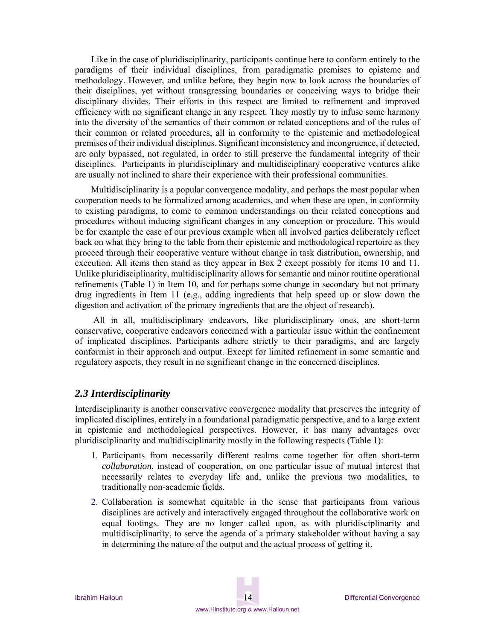Like in the case of pluridisciplinarity, participants continue here to conform entirely to the paradigms of their individual disciplines, from paradigmatic premises to episteme and methodology. However, and unlike before, they begin now to look across the boundaries of their disciplines, yet without transgressing boundaries or conceiving ways to bridge their disciplinary divides. Their efforts in this respect are limited to refinement and improved efficiency with no significant change in any respect. They mostly try to infuse some harmony into the diversity of the semantics of their common or related conceptions and of the rules of their common or related procedures, all in conformity to the epistemic and methodological premises of their individual disciplines. Significant inconsistency and incongruence, if detected, are only bypassed, not regulated, in order to still preserve the fundamental integrity of their disciplines. Participants in pluridisciplinary and multidisciplinary cooperative ventures alike are usually not inclined to share their experience with their professional communities.

Multidisciplinarity is a popular convergence modality, and perhaps the most popular when cooperation needs to be formalized among academics, and when these are open, in conformity to existing paradigms, to come to common understandings on their related conceptions and procedures without inducing significant changes in any conception or procedure. This would be for example the case of our previous example when all involved parties deliberately reflect back on what they bring to the table from their epistemic and methodological repertoire as they proceed through their cooperative venture without change in task distribution, ownership, and execution. All items then stand as they appear in Box 2 except possibly for items 10 and 11. Unlike pluridisciplinarity, multidisciplinarity allows for semantic and minor routine operational refinements (Table 1) in Item 10, and for perhaps some change in secondary but not primary drug ingredients in Item 11 (e.g., adding ingredients that help speed up or slow down the digestion and activation of the primary ingredients that are the object of research).

 All in all, multidisciplinary endeavors, like pluridisciplinary ones, are short-term conservative, cooperative endeavors concerned with a particular issue within the confinement of implicated disciplines. Participants adhere strictly to their paradigms, and are largely conformist in their approach and output. Except for limited refinement in some semantic and regulatory aspects, they result in no significant change in the concerned disciplines.

#### *2.3 Interdisciplinarity*

Interdisciplinarity is another conservative convergence modality that preserves the integrity of implicated disciplines, entirely in a foundational paradigmatic perspective, and to a large extent in epistemic and methodological perspectives. However, it has many advantages over pluridisciplinarity and multidisciplinarity mostly in the following respects (Table 1):

- 1. Participants from necessarily different realms come together for often short-term *collaboration*, instead of cooperation, on one particular issue of mutual interest that necessarily relates to everyday life and, unlike the previous two modalities, to traditionally non-academic fields.
- 2. Collaboration is somewhat equitable in the sense that participants from various disciplines are actively and interactively engaged throughout the collaborative work on equal footings. They are no longer called upon, as with pluridisciplinarity and multidisciplinarity, to serve the agenda of a primary stakeholder without having a say in determining the nature of the output and the actual process of getting it.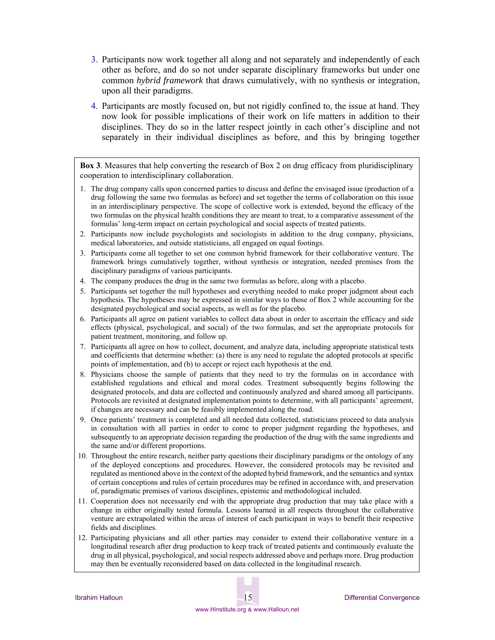- 3. Participants now work together all along and not separately and independently of each other as before, and do so not under separate disciplinary frameworks but under one common *hybrid framework* that draws cumulatively, with no synthesis or integration, upon all their paradigms.
- 4. Participants are mostly focused on, but not rigidly confined to, the issue at hand. They now look for possible implications of their work on life matters in addition to their disciplines. They do so in the latter respect jointly in each other's discipline and not separately in their individual disciplines as before, and this by bringing together

**Box 3**. Measures that help converting the research of Box 2 on drug efficacy from pluridisciplinary cooperation to interdisciplinary collaboration.

- 1. The drug company calls upon concerned parties to discuss and define the envisaged issue (production of a drug following the same two formulas as before) and set together the terms of collaboration on this issue in an interdisciplinary perspective. The scope of collective work is extended, beyond the efficacy of the two formulas on the physical health conditions they are meant to treat, to a comparative assessment of the formulas' long-term impact on certain psychological and social aspects of treated patients.
- 2. Participants now include psychologists and sociologists in addition to the drug company, physicians, medical laboratories, and outside statisticians, all engaged on equal footings.
- 3. Participants come all together to set one common hybrid framework for their collaborative venture. The framework brings cumulatively together, without synthesis or integration, needed premises from the disciplinary paradigms of various participants.
- 4. The company produces the drug in the same two formulas as before, along with a placebo.
- 5. Participants set together the null hypotheses and everything needed to make proper judgment about each hypothesis. The hypotheses may be expressed in similar ways to those of Box 2 while accounting for the designated psychological and social aspects, as well as for the placebo.
- 6. Participants all agree on patient variables to collect data about in order to ascertain the efficacy and side effects (physical, psychological, and social) of the two formulas, and set the appropriate protocols for patient treatment, monitoring, and follow up.
- 7. Participants all agree on how to collect, document, and analyze data, including appropriate statistical tests and coefficients that determine whether: (a) there is any need to regulate the adopted protocols at specific points of implementation, and (b) to accept or reject each hypothesis at the end.
- 8. Physicians choose the sample of patients that they need to try the formulas on in accordance with established regulations and ethical and moral codes. Treatment subsequently begins following the designated protocols, and data are collected and continuously analyzed and shared among all participants. Protocols are revisited at designated implementation points to determine, with all participants' agreement, if changes are necessary and can be feasibly implemented along the road.
- 9. Once patients' treatment is completed and all needed data collected, statisticians proceed to data analysis in consultation with all parties in order to come to proper judgment regarding the hypotheses, and subsequently to an appropriate decision regarding the production of the drug with the same ingredients and the same and/or different proportions.
- 10. Throughout the entire research, neither party questions their disciplinary paradigms or the ontology of any of the deployed conceptions and procedures. However, the considered protocols may be revisited and regulated as mentioned above in the context of the adopted hybrid framework, and the semantics and syntax of certain conceptions and rules of certain procedures may be refined in accordance with, and preservation of, paradigmatic premises of various disciplines, epistemic and methodological included.
- 11. Cooperation does not necessarily end with the appropriate drug production that may take place with a change in either originally tested formula. Lessons learned in all respects throughout the collaborative venture are extrapolated within the areas of interest of each participant in ways to benefit their respective fields and disciplines.
- 12. Participating physicians and all other parties may consider to extend their collaborative venture in a longitudinal research after drug production to keep track of treated patients and continuously evaluate the drug in all physical, psychological, and social respects addressed above and perhaps more. Drug production may then be eventually reconsidered based on data collected in the longitudinal research.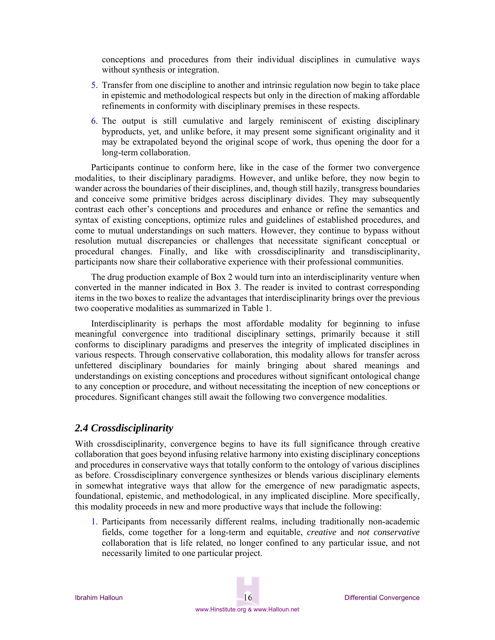conceptions and procedures from their individual disciplines in cumulative ways without synthesis or integration.

- 5. Transfer from one discipline to another and intrinsic regulation now begin to take place in epistemic and methodological respects but only in the direction of making affordable refinements in conformity with disciplinary premises in these respects.
- 6. The output is still cumulative and largely reminiscent of existing disciplinary byproducts, yet, and unlike before, it may present some significant originality and it may be extrapolated beyond the original scope of work, thus opening the door for a long-term collaboration.

Participants continue to conform here, like in the case of the former two convergence modalities, to their disciplinary paradigms. However, and unlike before, they now begin to wander across the boundaries of their disciplines, and, though still hazily, transgress boundaries and conceive some primitive bridges across disciplinary divides. They may subsequently contrast each other's conceptions and procedures and enhance or refine the semantics and syntax of existing conceptions, optimize rules and guidelines of established procedures, and come to mutual understandings on such matters. However, they continue to bypass without resolution mutual discrepancies or challenges that necessitate significant conceptual or procedural changes. Finally, and like with crossdisciplinarity and transdisciplinarity, participants now share their collaborative experience with their professional communities.

The drug production example of Box 2 would turn into an interdisciplinarity venture when converted in the manner indicated in Box 3. The reader is invited to contrast corresponding items in the two boxes to realize the advantages that interdisciplinarity brings over the previous two cooperative modalities as summarized in Table 1.

Interdisciplinarity is perhaps the most affordable modality for beginning to infuse meaningful convergence into traditional disciplinary settings, primarily because it still conforms to disciplinary paradigms and preserves the integrity of implicated disciplines in various respects. Through conservative collaboration, this modality allows for transfer across unfettered disciplinary boundaries for mainly bringing about shared meanings and understandings on existing conceptions and procedures without significant ontological change to any conception or procedure, and without necessitating the inception of new conceptions or procedures. Significant changes still await the following two convergence modalities.

#### *2.4 Crossdisciplinarity*

With crossdisciplinarity, convergence begins to have its full significance through creative collaboration that goes beyond infusing relative harmony into existing disciplinary conceptions and procedures in conservative ways that totally conform to the ontology of various disciplines as before. Crossdisciplinary convergence synthesizes or blends various disciplinary elements in somewhat integrative ways that allow for the emergence of new paradigmatic aspects, foundational, epistemic, and methodological, in any implicated discipline. More specifically, this modality proceeds in new and more productive ways that include the following:

1. Participants from necessarily different realms, including traditionally non-academic fields, come together for a long-term and equitable, *creative* and *not conservative* collaboration that is life related, no longer confined to any particular issue, and not necessarily limited to one particular project.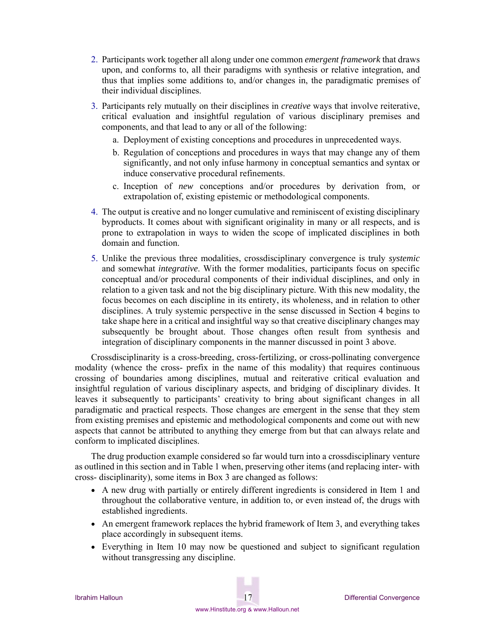- 2. Participants work together all along under one common *emergent framework* that draws upon, and conforms to, all their paradigms with synthesis or relative integration, and thus that implies some additions to, and/or changes in, the paradigmatic premises of their individual disciplines.
- 3. Participants rely mutually on their disciplines in *creative* ways that involve reiterative, critical evaluation and insightful regulation of various disciplinary premises and components, and that lead to any or all of the following:
	- a. Deployment of existing conceptions and procedures in unprecedented ways.
	- b. Regulation of conceptions and procedures in ways that may change any of them significantly, and not only infuse harmony in conceptual semantics and syntax or induce conservative procedural refinements.
	- c. Inception of *new* conceptions and/or procedures by derivation from, or extrapolation of, existing epistemic or methodological components.
- 4. The output is creative and no longer cumulative and reminiscent of existing disciplinary byproducts. It comes about with significant originality in many or all respects, and is prone to extrapolation in ways to widen the scope of implicated disciplines in both domain and function.
- 5. Unlike the previous three modalities, crossdisciplinary convergence is truly *systemic*  and somewhat *integrative*. With the former modalities, participants focus on specific conceptual and/or procedural components of their individual disciplines, and only in relation to a given task and not the big disciplinary picture. With this new modality, the focus becomes on each discipline in its entirety, its wholeness, and in relation to other disciplines. A truly systemic perspective in the sense discussed in Section 4 begins to take shape here in a critical and insightful way so that creative disciplinary changes may subsequently be brought about. Those changes often result from synthesis and integration of disciplinary components in the manner discussed in point 3 above.

Crossdisciplinarity is a cross-breeding, cross-fertilizing, or cross-pollinating convergence modality (whence the cross- prefix in the name of this modality) that requires continuous crossing of boundaries among disciplines, mutual and reiterative critical evaluation and insightful regulation of various disciplinary aspects, and bridging of disciplinary divides. It leaves it subsequently to participants' creativity to bring about significant changes in all paradigmatic and practical respects. Those changes are emergent in the sense that they stem from existing premises and epistemic and methodological components and come out with new aspects that cannot be attributed to anything they emerge from but that can always relate and conform to implicated disciplines.

The drug production example considered so far would turn into a crossdisciplinary venture as outlined in this section and in Table 1 when, preserving other items (and replacing inter- with cross- disciplinarity), some items in Box 3 are changed as follows:

- A new drug with partially or entirely different ingredients is considered in Item 1 and throughout the collaborative venture, in addition to, or even instead of, the drugs with established ingredients.
- An emergent framework replaces the hybrid framework of Item 3, and everything takes place accordingly in subsequent items.
- Everything in Item 10 may now be questioned and subject to significant regulation without transgressing any discipline.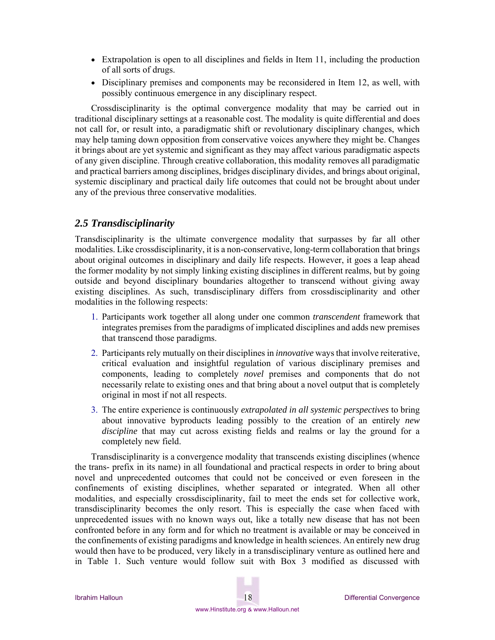- Extrapolation is open to all disciplines and fields in Item 11, including the production of all sorts of drugs.
- Disciplinary premises and components may be reconsidered in Item 12, as well, with possibly continuous emergence in any disciplinary respect.

Crossdisciplinarity is the optimal convergence modality that may be carried out in traditional disciplinary settings at a reasonable cost. The modality is quite differential and does not call for, or result into, a paradigmatic shift or revolutionary disciplinary changes, which may help taming down opposition from conservative voices anywhere they might be. Changes it brings about are yet systemic and significant as they may affect various paradigmatic aspects of any given discipline. Through creative collaboration, this modality removes all paradigmatic and practical barriers among disciplines, bridges disciplinary divides, and brings about original, systemic disciplinary and practical daily life outcomes that could not be brought about under any of the previous three conservative modalities.

### *2.5 Transdisciplinarity*

Transdisciplinarity is the ultimate convergence modality that surpasses by far all other modalities. Like crossdisciplinarity, it is a non-conservative, long-term collaboration that brings about original outcomes in disciplinary and daily life respects. However, it goes a leap ahead the former modality by not simply linking existing disciplines in different realms, but by going outside and beyond disciplinary boundaries altogether to transcend without giving away existing disciplines. As such, transdisciplinary differs from crossdisciplinarity and other modalities in the following respects:

- 1. Participants work together all along under one common *transcendent* framework that integrates premises from the paradigms of implicated disciplines and adds new premises that transcend those paradigms.
- 2. Participants rely mutually on their disciplines in *innovative* ways that involve reiterative, critical evaluation and insightful regulation of various disciplinary premises and components, leading to completely *novel* premises and components that do not necessarily relate to existing ones and that bring about a novel output that is completely original in most if not all respects.
- 3. The entire experience is continuously *extrapolated in all systemic perspectives* to bring about innovative byproducts leading possibly to the creation of an entirely *new discipline* that may cut across existing fields and realms or lay the ground for a completely new field.

Transdisciplinarity is a convergence modality that transcends existing disciplines (whence the trans- prefix in its name) in all foundational and practical respects in order to bring about novel and unprecedented outcomes that could not be conceived or even foreseen in the confinements of existing disciplines, whether separated or integrated. When all other modalities, and especially crossdisciplinarity, fail to meet the ends set for collective work, transdisciplinarity becomes the only resort. This is especially the case when faced with unprecedented issues with no known ways out, like a totally new disease that has not been confronted before in any form and for which no treatment is available or may be conceived in the confinements of existing paradigms and knowledge in health sciences. An entirely new drug would then have to be produced, very likely in a transdisciplinary venture as outlined here and in Table 1. Such venture would follow suit with Box 3 modified as discussed with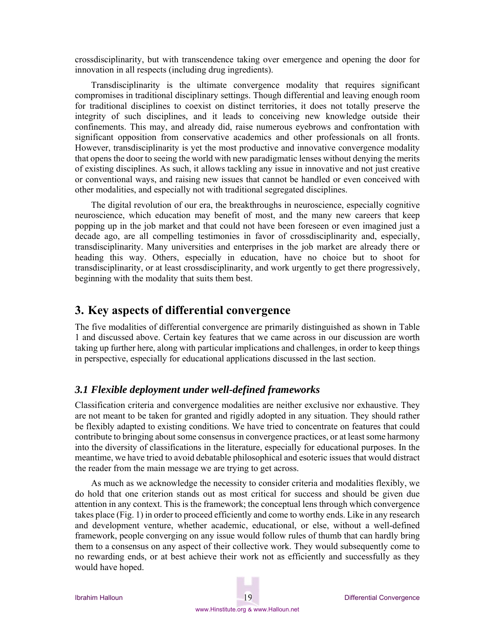crossdisciplinarity, but with transcendence taking over emergence and opening the door for innovation in all respects (including drug ingredients).

Transdisciplinarity is the ultimate convergence modality that requires significant compromises in traditional disciplinary settings. Though differential and leaving enough room for traditional disciplines to coexist on distinct territories, it does not totally preserve the integrity of such disciplines, and it leads to conceiving new knowledge outside their confinements. This may, and already did, raise numerous eyebrows and confrontation with significant opposition from conservative academics and other professionals on all fronts. However, transdisciplinarity is yet the most productive and innovative convergence modality that opens the door to seeing the world with new paradigmatic lenses without denying the merits of existing disciplines. As such, it allows tackling any issue in innovative and not just creative or conventional ways, and raising new issues that cannot be handled or even conceived with other modalities, and especially not with traditional segregated disciplines.

The digital revolution of our era, the breakthroughs in neuroscience, especially cognitive neuroscience, which education may benefit of most, and the many new careers that keep popping up in the job market and that could not have been foreseen or even imagined just a decade ago, are all compelling testimonies in favor of crossdisciplinarity and, especially, transdisciplinarity. Many universities and enterprises in the job market are already there or heading this way. Others, especially in education, have no choice but to shoot for transdisciplinarity, or at least crossdisciplinarity, and work urgently to get there progressively, beginning with the modality that suits them best.

## **3. Key aspects of differential convergence**

The five modalities of differential convergence are primarily distinguished as shown in Table 1 and discussed above. Certain key features that we came across in our discussion are worth taking up further here, along with particular implications and challenges, in order to keep things in perspective, especially for educational applications discussed in the last section.

#### *3.1 Flexible deployment under well-defined frameworks*

Classification criteria and convergence modalities are neither exclusive nor exhaustive. They are not meant to be taken for granted and rigidly adopted in any situation. They should rather be flexibly adapted to existing conditions. We have tried to concentrate on features that could contribute to bringing about some consensus in convergence practices, or at least some harmony into the diversity of classifications in the literature, especially for educational purposes. In the meantime, we have tried to avoid debatable philosophical and esoteric issues that would distract the reader from the main message we are trying to get across.

As much as we acknowledge the necessity to consider criteria and modalities flexibly, we do hold that one criterion stands out as most critical for success and should be given due attention in any context. This is the framework; the conceptual lens through which convergence takes place (Fig. 1) in order to proceed efficiently and come to worthy ends. Like in any research and development venture, whether academic, educational, or else, without a well-defined framework, people converging on any issue would follow rules of thumb that can hardly bring them to a consensus on any aspect of their collective work. They would subsequently come to no rewarding ends, or at best achieve their work not as efficiently and successfully as they would have hoped.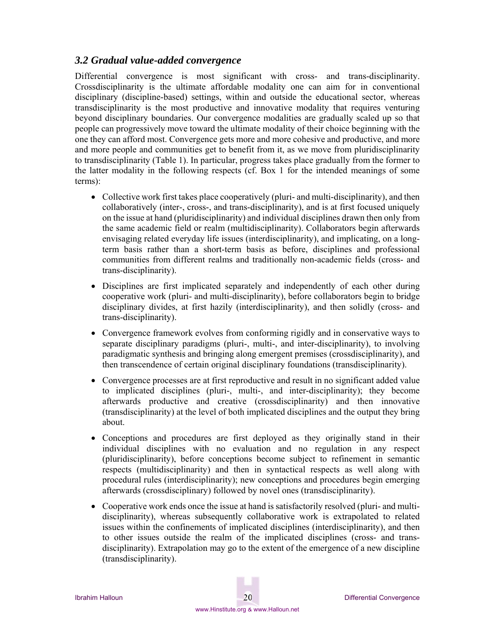### *3.2 Gradual value-added convergence*

Differential convergence is most significant with cross- and trans-disciplinarity. Crossdisciplinarity is the ultimate affordable modality one can aim for in conventional disciplinary (discipline-based) settings, within and outside the educational sector, whereas transdisciplinarity is the most productive and innovative modality that requires venturing beyond disciplinary boundaries. Our convergence modalities are gradually scaled up so that people can progressively move toward the ultimate modality of their choice beginning with the one they can afford most. Convergence gets more and more cohesive and productive, and more and more people and communities get to benefit from it, as we move from pluridisciplinarity to transdisciplinarity (Table 1). In particular, progress takes place gradually from the former to the latter modality in the following respects (cf. Box 1 for the intended meanings of some terms):

- Collective work first takes place cooperatively (pluri- and multi-disciplinarity), and then collaboratively (inter-, cross-, and trans-disciplinarity), and is at first focused uniquely on the issue at hand (pluridisciplinarity) and individual disciplines drawn then only from the same academic field or realm (multidisciplinarity). Collaborators begin afterwards envisaging related everyday life issues (interdisciplinarity), and implicating, on a longterm basis rather than a short-term basis as before, disciplines and professional communities from different realms and traditionally non-academic fields (cross- and trans-disciplinarity).
- Disciplines are first implicated separately and independently of each other during cooperative work (pluri- and multi-disciplinarity), before collaborators begin to bridge disciplinary divides, at first hazily (interdisciplinarity), and then solidly (cross- and trans-disciplinarity).
- Convergence framework evolves from conforming rigidly and in conservative ways to separate disciplinary paradigms (pluri-, multi-, and inter-disciplinarity), to involving paradigmatic synthesis and bringing along emergent premises (crossdisciplinarity), and then transcendence of certain original disciplinary foundations (transdisciplinarity).
- Convergence processes are at first reproductive and result in no significant added value to implicated disciplines (pluri-, multi-, and inter-disciplinarity); they become afterwards productive and creative (crossdisciplinarity) and then innovative (transdisciplinarity) at the level of both implicated disciplines and the output they bring about.
- Conceptions and procedures are first deployed as they originally stand in their individual disciplines with no evaluation and no regulation in any respect (pluridisciplinarity), before conceptions become subject to refinement in semantic respects (multidisciplinarity) and then in syntactical respects as well along with procedural rules (interdisciplinarity); new conceptions and procedures begin emerging afterwards (crossdisciplinary) followed by novel ones (transdisciplinarity).
- Cooperative work ends once the issue at hand is satisfactorily resolved (pluri- and multidisciplinarity), whereas subsequently collaborative work is extrapolated to related issues within the confinements of implicated disciplines (interdisciplinarity), and then to other issues outside the realm of the implicated disciplines (cross- and transdisciplinarity). Extrapolation may go to the extent of the emergence of a new discipline (transdisciplinarity).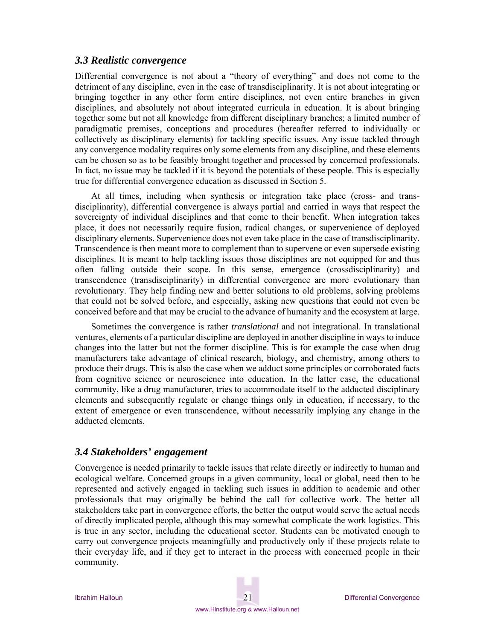#### *3.3 Realistic convergence*

Differential convergence is not about a "theory of everything" and does not come to the detriment of any discipline, even in the case of transdisciplinarity. It is not about integrating or bringing together in any other form entire disciplines, not even entire branches in given disciplines, and absolutely not about integrated curricula in education. It is about bringing together some but not all knowledge from different disciplinary branches; a limited number of paradigmatic premises, conceptions and procedures (hereafter referred to individually or collectively as disciplinary elements) for tackling specific issues. Any issue tackled through any convergence modality requires only some elements from any discipline, and these elements can be chosen so as to be feasibly brought together and processed by concerned professionals. In fact, no issue may be tackled if it is beyond the potentials of these people. This is especially true for differential convergence education as discussed in Section 5.

At all times, including when synthesis or integration take place (cross- and transdisciplinarity), differential convergence is always partial and carried in ways that respect the sovereignty of individual disciplines and that come to their benefit. When integration takes place, it does not necessarily require fusion, radical changes, or supervenience of deployed disciplinary elements. Supervenience does not even take place in the case of transdisciplinarity. Transcendence is then meant more to complement than to supervene or even supersede existing disciplines. It is meant to help tackling issues those disciplines are not equipped for and thus often falling outside their scope. In this sense, emergence (crossdisciplinarity) and transcendence (transdisciplinarity) in differential convergence are more evolutionary than revolutionary. They help finding new and better solutions to old problems, solving problems that could not be solved before, and especially, asking new questions that could not even be conceived before and that may be crucial to the advance of humanity and the ecosystem at large.

Sometimes the convergence is rather *translational* and not integrational. In translational ventures, elements of a particular discipline are deployed in another discipline in ways to induce changes into the latter but not the former discipline. This is for example the case when drug manufacturers take advantage of clinical research, biology, and chemistry, among others to produce their drugs. This is also the case when we adduct some principles or corroborated facts from cognitive science or neuroscience into education. In the latter case, the educational community, like a drug manufacturer, tries to accommodate itself to the adducted disciplinary elements and subsequently regulate or change things only in education, if necessary, to the extent of emergence or even transcendence, without necessarily implying any change in the adducted elements.

#### *3.4 Stakeholders' engagement*

Convergence is needed primarily to tackle issues that relate directly or indirectly to human and ecological welfare. Concerned groups in a given community, local or global, need then to be represented and actively engaged in tackling such issues in addition to academic and other professionals that may originally be behind the call for collective work. The better all stakeholders take part in convergence efforts, the better the output would serve the actual needs of directly implicated people, although this may somewhat complicate the work logistics. This is true in any sector, including the educational sector. Students can be motivated enough to carry out convergence projects meaningfully and productively only if these projects relate to their everyday life, and if they get to interact in the process with concerned people in their community.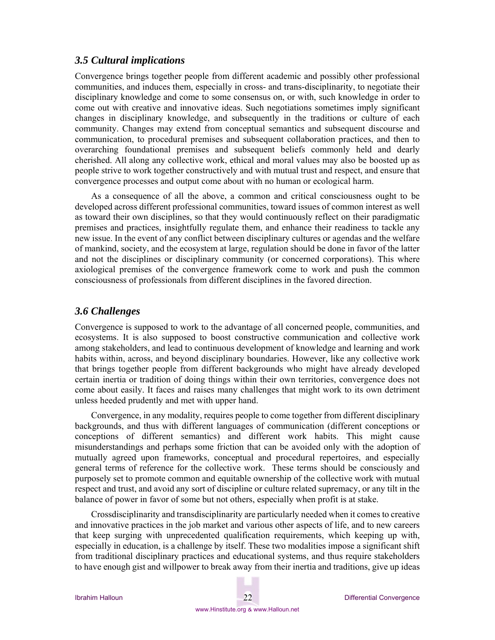#### *3.5 Cultural implications*

Convergence brings together people from different academic and possibly other professional communities, and induces them, especially in cross- and trans-disciplinarity, to negotiate their disciplinary knowledge and come to some consensus on, or with, such knowledge in order to come out with creative and innovative ideas. Such negotiations sometimes imply significant changes in disciplinary knowledge, and subsequently in the traditions or culture of each community. Changes may extend from conceptual semantics and subsequent discourse and communication, to procedural premises and subsequent collaboration practices, and then to overarching foundational premises and subsequent beliefs commonly held and dearly cherished. All along any collective work, ethical and moral values may also be boosted up as people strive to work together constructively and with mutual trust and respect, and ensure that convergence processes and output come about with no human or ecological harm.

As a consequence of all the above, a common and critical consciousness ought to be developed across different professional communities, toward issues of common interest as well as toward their own disciplines, so that they would continuously reflect on their paradigmatic premises and practices, insightfully regulate them, and enhance their readiness to tackle any new issue. In the event of any conflict between disciplinary cultures or agendas and the welfare of mankind, society, and the ecosystem at large, regulation should be done in favor of the latter and not the disciplines or disciplinary community (or concerned corporations). This where axiological premises of the convergence framework come to work and push the common consciousness of professionals from different disciplines in the favored direction.

### *3.6 Challenges*

Convergence is supposed to work to the advantage of all concerned people, communities, and ecosystems. It is also supposed to boost constructive communication and collective work among stakeholders, and lead to continuous development of knowledge and learning and work habits within, across, and beyond disciplinary boundaries. However, like any collective work that brings together people from different backgrounds who might have already developed certain inertia or tradition of doing things within their own territories, convergence does not come about easily. It faces and raises many challenges that might work to its own detriment unless heeded prudently and met with upper hand.

Convergence, in any modality, requires people to come together from different disciplinary backgrounds, and thus with different languages of communication (different conceptions or conceptions of different semantics) and different work habits. This might cause misunderstandings and perhaps some friction that can be avoided only with the adoption of mutually agreed upon frameworks, conceptual and procedural repertoires, and especially general terms of reference for the collective work. These terms should be consciously and purposely set to promote common and equitable ownership of the collective work with mutual respect and trust, and avoid any sort of discipline or culture related supremacy, or any tilt in the balance of power in favor of some but not others, especially when profit is at stake.

Crossdisciplinarity and transdisciplinarity are particularly needed when it comes to creative and innovative practices in the job market and various other aspects of life, and to new careers that keep surging with unprecedented qualification requirements, which keeping up with, especially in education, is a challenge by itself. These two modalities impose a significant shift from traditional disciplinary practices and educational systems, and thus require stakeholders to have enough gist and willpower to break away from their inertia and traditions, give up ideas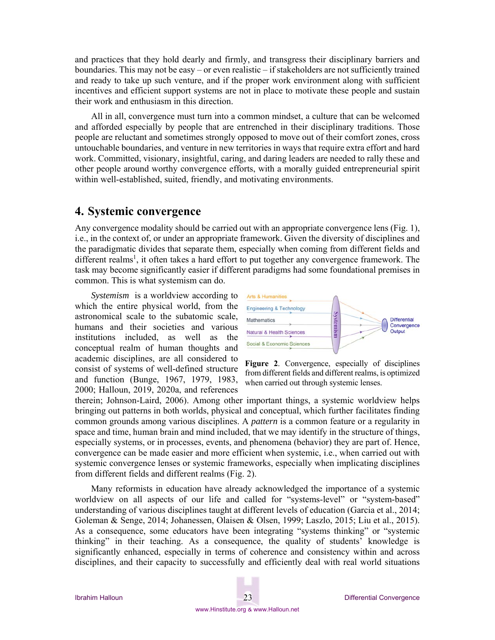and practices that they hold dearly and firmly, and transgress their disciplinary barriers and boundaries. This may not be easy – or even realistic – if stakeholders are not sufficiently trained and ready to take up such venture, and if the proper work environment along with sufficient incentives and efficient support systems are not in place to motivate these people and sustain their work and enthusiasm in this direction.

All in all, convergence must turn into a common mindset, a culture that can be welcomed and afforded especially by people that are entrenched in their disciplinary traditions. Those people are reluctant and sometimes strongly opposed to move out of their comfort zones, cross untouchable boundaries, and venture in new territories in ways that require extra effort and hard work. Committed, visionary, insightful, caring, and daring leaders are needed to rally these and other people around worthy convergence efforts, with a morally guided entrepreneurial spirit within well-established, suited, friendly, and motivating environments.

## **4. Systemic convergence**

Any convergence modality should be carried out with an appropriate convergence lens (Fig. 1), i.e., in the context of, or under an appropriate framework. Given the diversity of disciplines and the paradigmatic divides that separate them, especially when coming from different fields and different realms<sup>1</sup>, it often takes a hard effort to put together any convergence framework. The task may become significantly easier if different paradigms had some foundational premises in common. This is what systemism can do.

*Systemism* is a worldview according to which the entire physical world, from the astronomical scale to the subatomic scale, humans and their societies and various institutions included, as well as the conceptual realm of human thoughts and academic disciplines, are all considered to consist of systems of well-defined structure and function (Bunge, 1967, 1979, 1983, 2000; Halloun, 2019, 2020a, and references





therein; Johnson-Laird, 2006). Among other important things, a systemic worldview helps bringing out patterns in both worlds, physical and conceptual, which further facilitates finding common grounds among various disciplines. A *pattern* is a common feature or a regularity in space and time, human brain and mind included, that we may identify in the structure of things, especially systems, or in processes, events, and phenomena (behavior) they are part of. Hence, convergence can be made easier and more efficient when systemic, i.e., when carried out with systemic convergence lenses or systemic frameworks, especially when implicating disciplines from different fields and different realms (Fig. 2).

Many reformists in education have already acknowledged the importance of a systemic worldview on all aspects of our life and called for "systems-level" or "system-based" understanding of various disciplines taught at different levels of education (Garcia et al., 2014; Goleman & Senge, 2014; Johanessen, Olaisen & Olsen, 1999; Laszlo, 2015; Liu et al., 2015). As a consequence, some educators have been integrating "systems thinking" or "systemic thinking" in their teaching. As a consequence, the quality of students' knowledge is significantly enhanced, especially in terms of coherence and consistency within and across disciplines, and their capacity to successfully and efficiently deal with real world situations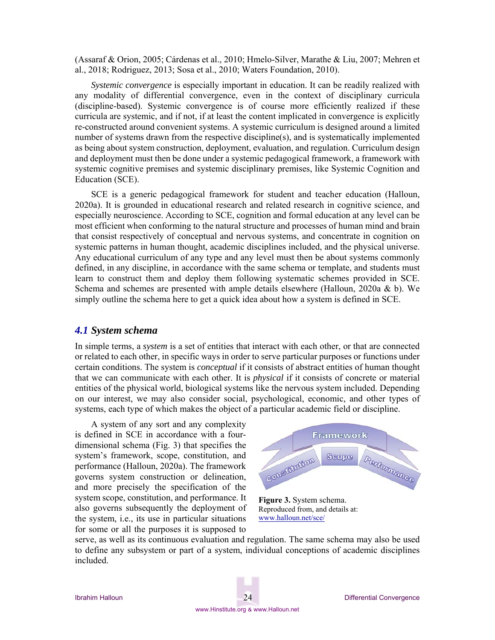(Assaraf & Orion, 2005; Cárdenas et al., 2010; Hmelo-Silver, Marathe & Liu, 2007; Mehren et al., 2018; Rodriguez, 2013; Sosa et al., 2010; Waters Foundation, 2010).

*Systemic convergence* is especially important in education. It can be readily realized with any modality of differential convergence, even in the context of disciplinary curricula (discipline-based). Systemic convergence is of course more efficiently realized if these curricula are systemic, and if not, if at least the content implicated in convergence is explicitly re-constructed around convenient systems. A systemic curriculum is designed around a limited number of systems drawn from the respective discipline(s), and is systematically implemented as being about system construction, deployment, evaluation, and regulation. Curriculum design and deployment must then be done under a systemic pedagogical framework, a framework with systemic cognitive premises and systemic disciplinary premises, like Systemic Cognition and Education (SCE).

SCE is a generic pedagogical framework for student and teacher education (Halloun, 2020a). It is grounded in educational research and related research in cognitive science, and especially neuroscience. According to SCE, cognition and formal education at any level can be most efficient when conforming to the natural structure and processes of human mind and brain that consist respectively of conceptual and nervous systems, and concentrate in cognition on systemic patterns in human thought, academic disciplines included, and the physical universe. Any educational curriculum of any type and any level must then be about systems commonly defined, in any discipline, in accordance with the same schema or template, and students must learn to construct them and deploy them following systematic schemes provided in SCE. Schema and schemes are presented with ample details elsewhere (Halloun, 2020a & b). We simply outline the schema here to get a quick idea about how a system is defined in SCE.

#### *4.1 System schema*

In simple terms, a *system* is a set of entities that interact with each other, or that are connected or related to each other, in specific ways in order to serve particular purposes or functions under certain conditions. The system is *conceptual* if it consists of abstract entities of human thought that we can communicate with each other. It is *physical* if it consists of concrete or material entities of the physical world, biological systems like the nervous system included. Depending on our interest, we may also consider social, psychological, economic, and other types of systems, each type of which makes the object of a particular academic field or discipline.

A system of any sort and any complexity is defined in SCE in accordance with a fourdimensional schema (Fig. 3) that specifies the system's framework, scope, constitution, and performance (Halloun, 2020a). The framework governs system construction or delineation, and more precisely the specification of the system scope, constitution, and performance. It also governs subsequently the deployment of the system, i.e., its use in particular situations for some or all the purposes it is supposed to



Reproduced from, and details at: www.halloun.net/sce/

serve, as well as its continuous evaluation and regulation. The same schema may also be used to define any subsystem or part of a system, individual conceptions of academic disciplines included.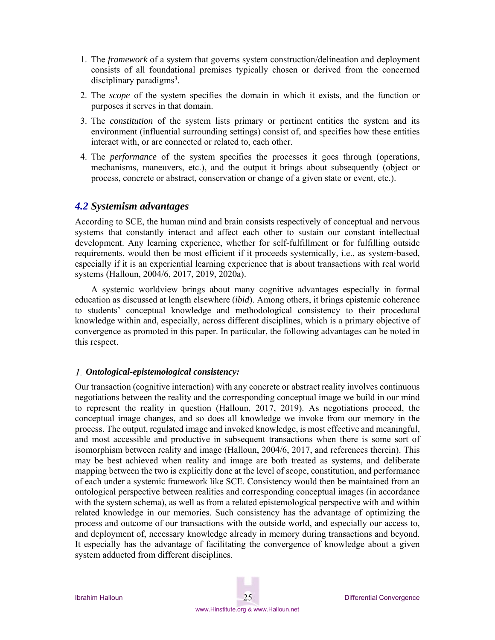- 1. The *framework* of a system that governs system construction/delineation and deployment consists of all foundational premises typically chosen or derived from the concerned disciplinary paradigms<sup>3</sup>.
- 2. The *scope* of the system specifies the domain in which it exists, and the function or purposes it serves in that domain.
- 3. The *constitution* of the system lists primary or pertinent entities the system and its environment (influential surrounding settings) consist of, and specifies how these entities interact with, or are connected or related to, each other.
- 4. The *performance* of the system specifies the processes it goes through (operations, mechanisms, maneuvers, etc.), and the output it brings about subsequently (object or process, concrete or abstract, conservation or change of a given state or event, etc.).

#### *4.2 Systemism advantages*

According to SCE, the human mind and brain consists respectively of conceptual and nervous systems that constantly interact and affect each other to sustain our constant intellectual development. Any learning experience, whether for self-fulfillment or for fulfilling outside requirements, would then be most efficient if it proceeds systemically, i.e., as system-based, especially if it is an experiential learning experience that is about transactions with real world systems (Halloun, 2004/6, 2017, 2019, 2020a).

A systemic worldview brings about many cognitive advantages especially in formal education as discussed at length elsewhere (*ibid*). Among others, it brings epistemic coherence to students' conceptual knowledge and methodological consistency to their procedural knowledge within and, especially, across different disciplines, which is a primary objective of convergence as promoted in this paper. In particular, the following advantages can be noted in this respect.

#### *Ontological-epistemological consistency:*

Our transaction (cognitive interaction) with any concrete or abstract reality involves continuous negotiations between the reality and the corresponding conceptual image we build in our mind to represent the reality in question (Halloun, 2017, 2019). As negotiations proceed, the conceptual image changes, and so does all knowledge we invoke from our memory in the process. The output, regulated image and invoked knowledge, is most effective and meaningful, and most accessible and productive in subsequent transactions when there is some sort of isomorphism between reality and image (Halloun, 2004/6, 2017, and references therein). This may be best achieved when reality and image are both treated as systems, and deliberate mapping between the two is explicitly done at the level of scope, constitution, and performance of each under a systemic framework like SCE. Consistency would then be maintained from an ontological perspective between realities and corresponding conceptual images (in accordance with the system schema), as well as from a related epistemological perspective with and within related knowledge in our memories. Such consistency has the advantage of optimizing the process and outcome of our transactions with the outside world, and especially our access to, and deployment of, necessary knowledge already in memory during transactions and beyond. It especially has the advantage of facilitating the convergence of knowledge about a given system adducted from different disciplines.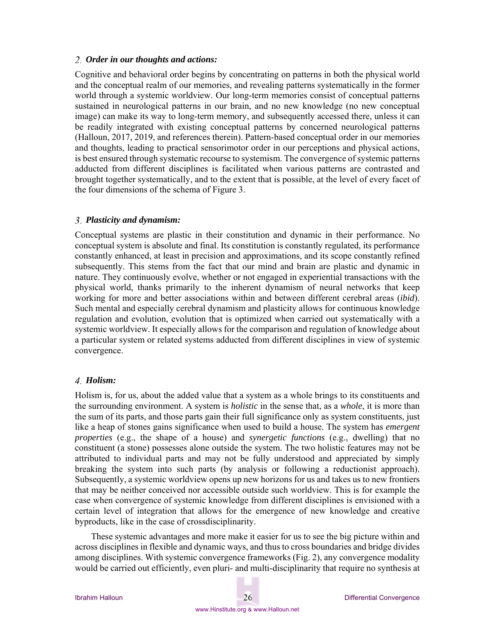#### *Order in our thoughts and actions:*

Cognitive and behavioral order begins by concentrating on patterns in both the physical world and the conceptual realm of our memories, and revealing patterns systematically in the former world through a systemic worldview. Our long-term memories consist of conceptual patterns sustained in neurological patterns in our brain, and no new knowledge (no new conceptual image) can make its way to long-term memory, and subsequently accessed there, unless it can be readily integrated with existing conceptual patterns by concerned neurological patterns (Halloun, 2017, 2019, and references therein). Pattern-based conceptual order in our memories and thoughts, leading to practical sensorimotor order in our perceptions and physical actions, is best ensured through systematic recourse to systemism. The convergence of systemic patterns adducted from different disciplines is facilitated when various patterns are contrasted and brought together systematically, and to the extent that is possible, at the level of every facet of the four dimensions of the schema of Figure 3.

#### *Plasticity and dynamism:*

Conceptual systems are plastic in their constitution and dynamic in their performance. No conceptual system is absolute and final. Its constitution is constantly regulated, its performance constantly enhanced, at least in precision and approximations, and its scope constantly refined subsequently. This stems from the fact that our mind and brain are plastic and dynamic in nature. They continuously evolve, whether or not engaged in experiential transactions with the physical world, thanks primarily to the inherent dynamism of neural networks that keep working for more and better associations within and between different cerebral areas (*ibid*). Such mental and especially cerebral dynamism and plasticity allows for continuous knowledge regulation and evolution, evolution that is optimized when carried out systematically with a systemic worldview. It especially allows for the comparison and regulation of knowledge about a particular system or related systems adducted from different disciplines in view of systemic convergence.

#### *Holism:*

Holism is, for us, about the added value that a system as a whole brings to its constituents and the surrounding environment. A system is *holistic* in the sense that, as a *whole*, it is more than the sum of its parts, and those parts gain their full significance only as system constituents, just like a heap of stones gains significance when used to build a house. The system has *emergent properties* (e.g., the shape of a house) and *synergetic functions* (e.g., dwelling) that no constituent (a stone) possesses alone outside the system. The two holistic features may not be attributed to individual parts and may not be fully understood and appreciated by simply breaking the system into such parts (by analysis or following a reductionist approach). Subsequently, a systemic worldview opens up new horizons for us and takes us to new frontiers that may be neither conceived nor accessible outside such worldview. This is for example the case when convergence of systemic knowledge from different disciplines is envisioned with a certain level of integration that allows for the emergence of new knowledge and creative byproducts, like in the case of crossdisciplinarity.

These systemic advantages and more make it easier for us to see the big picture within and across disciplines in flexible and dynamic ways, and thus to cross boundaries and bridge divides among disciplines. With systemic convergence frameworks (Fig. 2), any convergence modality would be carried out efficiently, even pluri- and multi-disciplinarity that require no synthesis at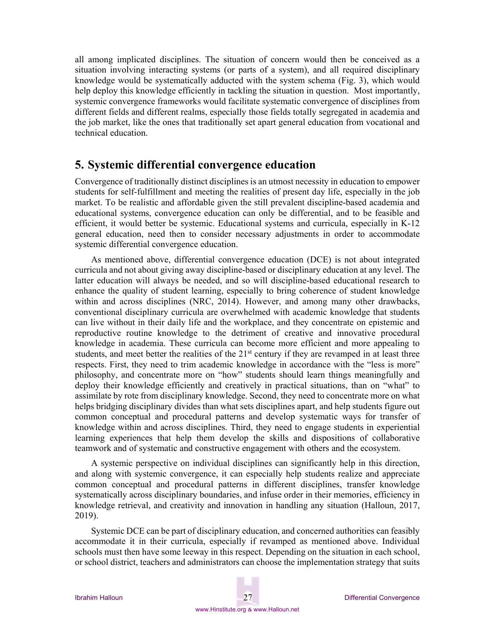all among implicated disciplines. The situation of concern would then be conceived as a situation involving interacting systems (or parts of a system), and all required disciplinary knowledge would be systematically adducted with the system schema (Fig. 3), which would help deploy this knowledge efficiently in tackling the situation in question. Most importantly, systemic convergence frameworks would facilitate systematic convergence of disciplines from different fields and different realms, especially those fields totally segregated in academia and the job market, like the ones that traditionally set apart general education from vocational and technical education.

## **5. Systemic differential convergence education**

Convergence of traditionally distinct disciplines is an utmost necessity in education to empower students for self-fulfillment and meeting the realities of present day life, especially in the job market. To be realistic and affordable given the still prevalent discipline-based academia and educational systems, convergence education can only be differential, and to be feasible and efficient, it would better be systemic. Educational systems and curricula, especially in K-12 general education, need then to consider necessary adjustments in order to accommodate systemic differential convergence education.

As mentioned above, differential convergence education (DCE) is not about integrated curricula and not about giving away discipline-based or disciplinary education at any level. The latter education will always be needed, and so will discipline-based educational research to enhance the quality of student learning, especially to bring coherence of student knowledge within and across disciplines (NRC, 2014). However, and among many other drawbacks, conventional disciplinary curricula are overwhelmed with academic knowledge that students can live without in their daily life and the workplace, and they concentrate on epistemic and reproductive routine knowledge to the detriment of creative and innovative procedural knowledge in academia. These curricula can become more efficient and more appealing to students, and meet better the realities of the  $21<sup>st</sup>$  century if they are revamped in at least three respects. First, they need to trim academic knowledge in accordance with the "less is more" philosophy, and concentrate more on "how" students should learn things meaningfully and deploy their knowledge efficiently and creatively in practical situations, than on "what" to assimilate by rote from disciplinary knowledge. Second, they need to concentrate more on what helps bridging disciplinary divides than what sets disciplines apart, and help students figure out common conceptual and procedural patterns and develop systematic ways for transfer of knowledge within and across disciplines. Third, they need to engage students in experiential learning experiences that help them develop the skills and dispositions of collaborative teamwork and of systematic and constructive engagement with others and the ecosystem.

A systemic perspective on individual disciplines can significantly help in this direction, and along with systemic convergence, it can especially help students realize and appreciate common conceptual and procedural patterns in different disciplines, transfer knowledge systematically across disciplinary boundaries, and infuse order in their memories, efficiency in knowledge retrieval, and creativity and innovation in handling any situation (Halloun, 2017, 2019).

Systemic DCE can be part of disciplinary education, and concerned authorities can feasibly accommodate it in their curricula, especially if revamped as mentioned above. Individual schools must then have some leeway in this respect. Depending on the situation in each school, or school district, teachers and administrators can choose the implementation strategy that suits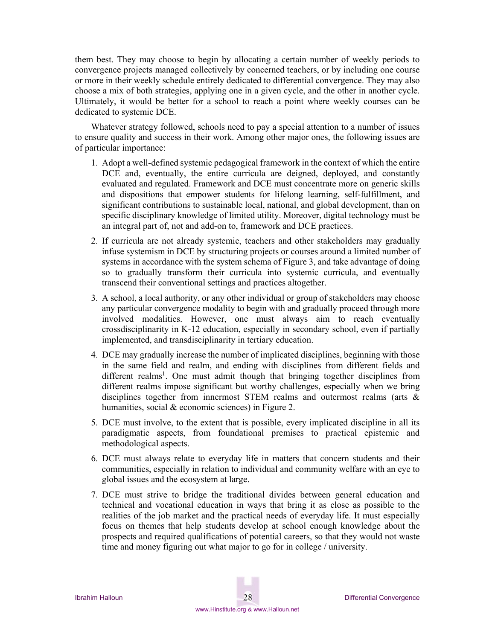them best. They may choose to begin by allocating a certain number of weekly periods to convergence projects managed collectively by concerned teachers, or by including one course or more in their weekly schedule entirely dedicated to differential convergence. They may also choose a mix of both strategies, applying one in a given cycle, and the other in another cycle. Ultimately, it would be better for a school to reach a point where weekly courses can be dedicated to systemic DCE.

Whatever strategy followed, schools need to pay a special attention to a number of issues to ensure quality and success in their work. Among other major ones, the following issues are of particular importance:

- 1. Adopt a well-defined systemic pedagogical framework in the context of which the entire DCE and, eventually, the entire curricula are deigned, deployed, and constantly evaluated and regulated. Framework and DCE must concentrate more on generic skills and dispositions that empower students for lifelong learning, self-fulfillment, and significant contributions to sustainable local, national, and global development, than on specific disciplinary knowledge of limited utility. Moreover, digital technology must be an integral part of, not and add-on to, framework and DCE practices.
- 2. If curricula are not already systemic, teachers and other stakeholders may gradually infuse systemism in DCE by structuring projects or courses around a limited number of systems in accordance with the system schema of Figure 3, and take advantage of doing so to gradually transform their curricula into systemic curricula, and eventually transcend their conventional settings and practices altogether.
- 3. A school, a local authority, or any other individual or group of stakeholders may choose any particular convergence modality to begin with and gradually proceed through more involved modalities. However, one must always aim to reach eventually crossdisciplinarity in K-12 education, especially in secondary school, even if partially implemented, and transdisciplinarity in tertiary education.
- 4. DCE may gradually increase the number of implicated disciplines, beginning with those in the same field and realm, and ending with disciplines from different fields and different realms<sup>1</sup>. One must admit though that bringing together disciplines from different realms impose significant but worthy challenges, especially when we bring disciplines together from innermost STEM realms and outermost realms (arts & humanities, social & economic sciences) in Figure 2.
- 5. DCE must involve, to the extent that is possible, every implicated discipline in all its paradigmatic aspects, from foundational premises to practical epistemic and methodological aspects.
- 6. DCE must always relate to everyday life in matters that concern students and their communities, especially in relation to individual and community welfare with an eye to global issues and the ecosystem at large.
- 7. DCE must strive to bridge the traditional divides between general education and technical and vocational education in ways that bring it as close as possible to the realities of the job market and the practical needs of everyday life. It must especially focus on themes that help students develop at school enough knowledge about the prospects and required qualifications of potential careers, so that they would not waste time and money figuring out what major to go for in college / university.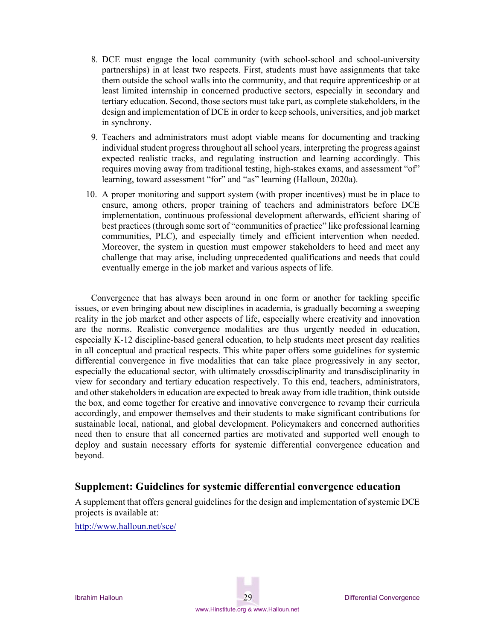- 8. DCE must engage the local community (with school-school and school-university partnerships) in at least two respects. First, students must have assignments that take them outside the school walls into the community, and that require apprenticeship or at least limited internship in concerned productive sectors, especially in secondary and tertiary education. Second, those sectors must take part, as complete stakeholders, in the design and implementation of DCE in order to keep schools, universities, and job market in synchrony.
- 9. Teachers and administrators must adopt viable means for documenting and tracking individual student progress throughout all school years, interpreting the progress against expected realistic tracks, and regulating instruction and learning accordingly. This requires moving away from traditional testing, high-stakes exams, and assessment "of" learning, toward assessment "for" and "as" learning (Halloun, 2020a).
- 10. A proper monitoring and support system (with proper incentives) must be in place to ensure, among others, proper training of teachers and administrators before DCE implementation, continuous professional development afterwards, efficient sharing of best practices (through some sort of "communities of practice" like professional learning communities, PLC), and especially timely and efficient intervention when needed. Moreover, the system in question must empower stakeholders to heed and meet any challenge that may arise, including unprecedented qualifications and needs that could eventually emerge in the job market and various aspects of life.

Convergence that has always been around in one form or another for tackling specific issues, or even bringing about new disciplines in academia, is gradually becoming a sweeping reality in the job market and other aspects of life, especially where creativity and innovation are the norms. Realistic convergence modalities are thus urgently needed in education, especially K-12 discipline-based general education, to help students meet present day realities in all conceptual and practical respects. This white paper offers some guidelines for systemic differential convergence in five modalities that can take place progressively in any sector, especially the educational sector, with ultimately crossdisciplinarity and transdisciplinarity in view for secondary and tertiary education respectively. To this end, teachers, administrators, and other stakeholders in education are expected to break away from idle tradition, think outside the box, and come together for creative and innovative convergence to revamp their curricula accordingly, and empower themselves and their students to make significant contributions for sustainable local, national, and global development. Policymakers and concerned authorities need then to ensure that all concerned parties are motivated and supported well enough to deploy and sustain necessary efforts for systemic differential convergence education and beyond.

### **Supplement: Guidelines for systemic differential convergence education**

A supplement that offers general guidelines for the design and implementation of systemic DCE projects is available at:

http://www.halloun.net/sce/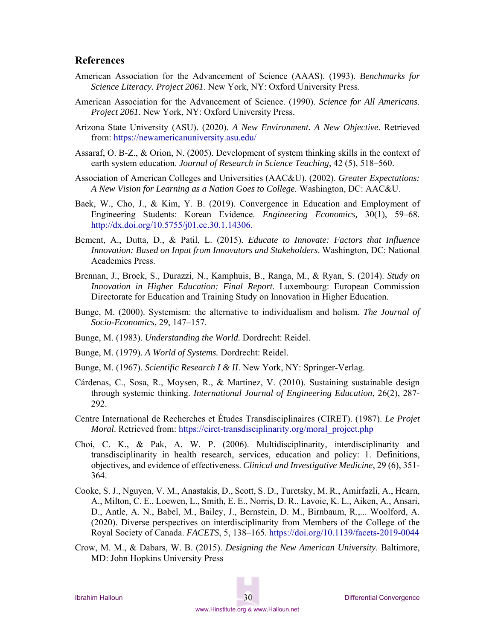#### **References**

- American Association for the Advancement of Science (AAAS). (1993). *Benchmarks for Science Literacy. Project 2061*. New York, NY: Oxford University Press.
- American Association for the Advancement of Science. (1990). *Science for All Americans*. *Project 2061*. New York, NY: Oxford University Press.
- Arizona State University (ASU). (2020). *A New Environment. A New Objective*. Retrieved from: https://newamericanuniversity.asu.edu/
- Assaraf, O. B-Z., & Orion, N. (2005). Development of system thinking skills in the context of earth system education. *Journal of Research in Science Teaching*, 42 (5), 518–560.
- Association of American Colleges and Universities (AAC&U). (2002). *Greater Expectations: A New Vision for Learning as a Nation Goes to College.* Washington, DC: AAC&U.
- Baek, W., Cho, J., & Kim, Y. B. (2019). Convergence in Education and Employment of Engineering Students: Korean Evidence. *Engineering Economics,* 30(1), 59–68. http://dx.doi.org/10.5755/j01.ee.30.1.14306.
- Bement, A., Dutta, D., & Patil, L. (2015). *Educate to Innovate: Factors that Influence Innovation: Based on Input from Innovators and Stakeholders*. Washington, DC: National Academies Press.
- Brennan, J., Broek, S., Durazzi, N., Kamphuis, B., Ranga, M., & Ryan, S. (2014). *Study on Innovation in Higher Education: Final Report.* Luxembourg: European Commission Directorate for Education and Training Study on Innovation in Higher Education.
- Bunge, M. (2000). Systemism: the alternative to individualism and holism. *The Journal of Socio-Economics*, 29, 147–157.
- Bunge, M. (1983). *Understanding the World.* Dordrecht: Reidel.
- Bunge, M. (1979). *A World of Systems.* Dordrecht: Reidel.
- Bunge, M. (1967). *Scientific Research I & II*. New York, NY: Springer-Verlag.
- Cárdenas, C., Sosa, R., Moysen, R., & Martinez, V. (2010). Sustaining sustainable design through systemic thinking. *International Journal of Engineering Education*, 26(2), 287- 292.
- Centre International de Recherches et Études Transdisciplinaires (CIRET). (1987). *Le Projet Moral*. Retrieved from: https://ciret-transdisciplinarity.org/moral\_project.php
- Choi, C. K., & Pak, A. W. P. (2006). Multidisciplinarity, interdisciplinarity and transdisciplinarity in health research, services, education and policy: 1. Definitions, objectives, and evidence of effectiveness. *Clinical and Investigative Medicine*, 29 (6), 351- 364.
- Cooke, S. J., Nguyen, V. M., Anastakis, D., Scott, S. D., Turetsky, M. R., Amirfazli, A., Hearn, A., Milton, C. E., Loewen, L., Smith, E. E., Norris, D. R., Lavoie, K. L., Aiken, A., Ansari, D., Antle, A. N., Babel, M., Bailey, J., Bernstein, D. M., Birnbaum, R.,... Woolford, A. (2020). Diverse perspectives on interdisciplinarity from Members of the College of the Royal Society of Canada. *FACETS*, 5, 138–165. https://doi.org/10.1139/facets-2019-0044
- Crow, M. M., & Dabars, W. B. (2015). *Designing the New American University*. Baltimore, MD: John Hopkins University Press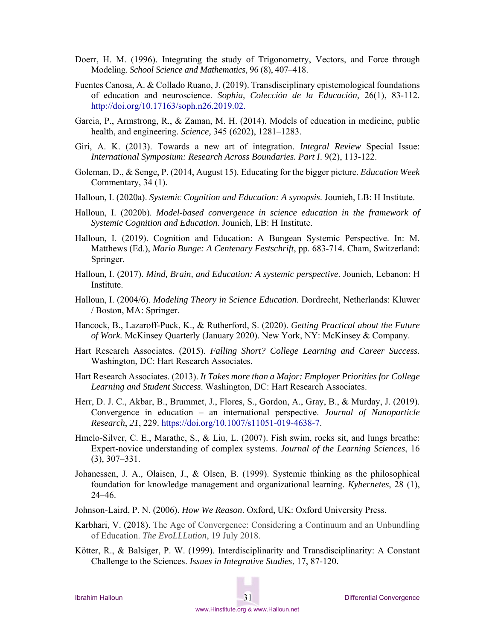- Doerr, H. M. (1996). Integrating the study of Trigonometry, Vectors, and Force through Modeling. *School Science and Mathematics*, 96 (8), 407–418.
- Fuentes Canosa, A. & Collado Ruano, J. (2019). Transdisciplinary epistemological foundations of education and neuroscience. *Sophia, Colección de la Educación,* 26(1), 83-112. http://doi.org/10.17163/soph.n26.2019.02.
- Garcia, P., Armstrong, R., & Zaman, M. H. (2014). Models of education in medicine, public health, and engineering. *Science,* 345 (6202), 1281–1283.
- Giri, A. K. (2013). Towards a new art of integration. *Integral Review* Special Issue: *International Symposium: Research Across Boundaries. Part I*. 9(2), 113-122.
- Goleman, D., & Senge, P. (2014, August 15). Educating for the bigger picture. *Education Week* Commentary, 34 (1).
- Halloun, I. (2020a). *Systemic Cognition and Education: A synopsis*. Jounieh, LB: H Institute.
- Halloun, I. (2020b). *Model-based convergence in science education in the framework of Systemic Cognition and Education*. Jounieh, LB: H Institute.
- Halloun, I. (2019). Cognition and Education: A Bungean Systemic Perspective. In: M. Matthews (Ed.), *Mario Bunge: A Centenary Festschrift*, pp. 683-714. Cham, Switzerland: Springer.
- Halloun, I. (2017). *Mind, Brain, and Education: A systemic perspective*. Jounieh, Lebanon: H Institute.
- Halloun, I. (2004/6). *Modeling Theory in Science Education*. Dordrecht, Netherlands: Kluwer / Boston, MA: Springer.
- Hancock, B., Lazaroff-Puck, K., & Rutherford, S. (2020). *Getting Practical about the Future of Work.* McKinsey Quarterly (January 2020). New York, NY: McKinsey & Company.
- Hart Research Associates. (2015). *Falling Short? College Learning and Career Success.* Washington, DC: Hart Research Associates.
- Hart Research Associates. (2013). *It Takes more than a Major: Employer Priorities for College Learning and Student Success*. Washington, DC: Hart Research Associates.
- Herr, D. J. C., Akbar, B., Brummet, J., Flores, S., Gordon, A., Gray, B., & Murday, J. (2019). Convergence in education – an international perspective. *Journal of Nanoparticle Research*, *21*, 229. https://doi.org/10.1007/s11051-019-4638-7.
- Hmelo-Silver, C. E., Marathe, S., & Liu, L. (2007). Fish swim, rocks sit, and lungs breathe: Expert-novice understanding of complex systems. *Journal of the Learning Sciences*, 16 (3), 307–331.
- Johanessen, J. A., Olaisen, J., & Olsen, B. (1999). Systemic thinking as the philosophical foundation for knowledge management and organizational learning. *Kybernetes*, 28 (1), 24–46.
- Johnson-Laird, P. N. (2006). *How We Reason*. Oxford, UK: Oxford University Press.
- Karbhari, V. (2018). The Age of Convergence: Considering a Continuum and an Unbundling of Education. *The EvoLLLution*, 19 July 2018.
- Kötter, R., & Balsiger, P. W. (1999). Interdisciplinarity and Transdisciplinarity: A Constant Challenge to the Sciences. *Issues in Integrative Studies*, 17, 87-120.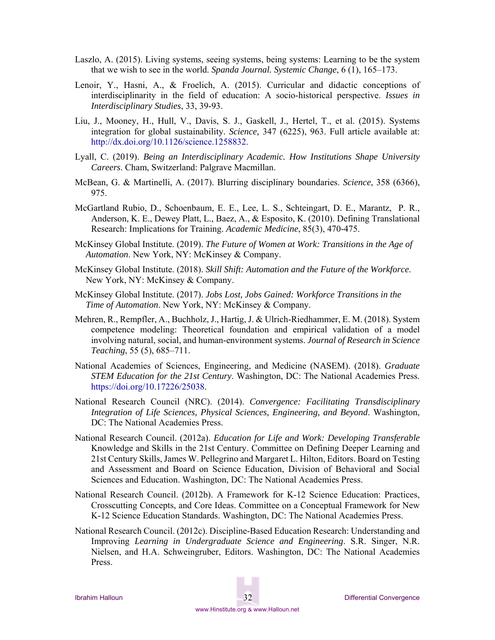- Laszlo, A. (2015). Living systems, seeing systems, being systems: Learning to be the system that we wish to see in the world. *Spanda Journal. Systemic Change*, 6 (1), 165–173.
- Lenoir, Y., Hasni, A., & Froelich, A. (2015). Curricular and didactic conceptions of interdisciplinarity in the field of education: A socio-historical perspective. *Issues in Interdisciplinary Studies*, 33, 39-93.
- Liu, J., Mooney, H., Hull, V., Davis, S. J., Gaskell, J., Hertel, T., et al. (2015). Systems integration for global sustainability. *Science,* 347 (6225), 963. Full article available at: http://dx.doi.org/10.1126/science.1258832.
- Lyall, C. (2019). *Being an Interdisciplinary Academic. How Institutions Shape University Careers*. Cham, Switzerland: Palgrave Macmillan.
- McBean, G. & Martinelli, A. (2017). Blurring disciplinary boundaries. *Science*, 358 (6366), 975.
- McGartland Rubio, D., Schoenbaum, E. E., Lee, L. S., Schteingart, D. E., Marantz, P. R., Anderson, K. E., Dewey Platt, L., Baez, A., & Esposito, K. (2010). Defining Translational Research: Implications for Training. *Academic Medicine*, 85(3), 470-475.
- McKinsey Global Institute. (2019). *The Future of Women at Work: Transitions in the Age of Automation*. New York, NY: McKinsey & Company.
- McKinsey Global Institute. (2018). *Skill Shift: Automation and the Future of the Workforce*. New York, NY: McKinsey & Company.
- McKinsey Global Institute. (2017). *Jobs Lost, Jobs Gained: Workforce Transitions in the Time of Automation*. New York, NY: McKinsey & Company.
- Mehren, R., Rempfler, A., Buchholz, J., Hartig, J. & Ulrich-Riedhammer, E. M. (2018). System competence modeling: Theoretical foundation and empirical validation of a model involving natural, social, and human-environment systems. *Journal of Research in Science Teaching*, 55 (5), 685–711.
- National Academies of Sciences, Engineering, and Medicine (NASEM). (2018). *Graduate STEM Education for the 21st Century*. Washington, DC: The National Academies Press. https://doi.org/10.17226/25038.
- National Research Council (NRC). (2014). *Convergence: Facilitating Transdisciplinary Integration of Life Sciences, Physical Sciences, Engineering, and Beyond*. Washington, DC: The National Academies Press.
- National Research Council. (2012a). *Education for Life and Work: Developing Transferable*  Knowledge and Skills in the 21st Century. Committee on Defining Deeper Learning and 21st Century Skills, James W. Pellegrino and Margaret L. Hilton, Editors. Board on Testing and Assessment and Board on Science Education, Division of Behavioral and Social Sciences and Education. Washington, DC: The National Academies Press.
- National Research Council. (2012b). A Framework for K-12 Science Education: Practices, Crosscutting Concepts, and Core Ideas. Committee on a Conceptual Framework for New K-12 Science Education Standards. Washington, DC: The National Academies Press.
- National Research Council. (2012c). Discipline-Based Education Research: Understanding and Improving *Learning in Undergraduate Science and Engineering*. S.R. Singer, N.R. Nielsen, and H.A. Schweingruber, Editors. Washington, DC: The National Academies Press.